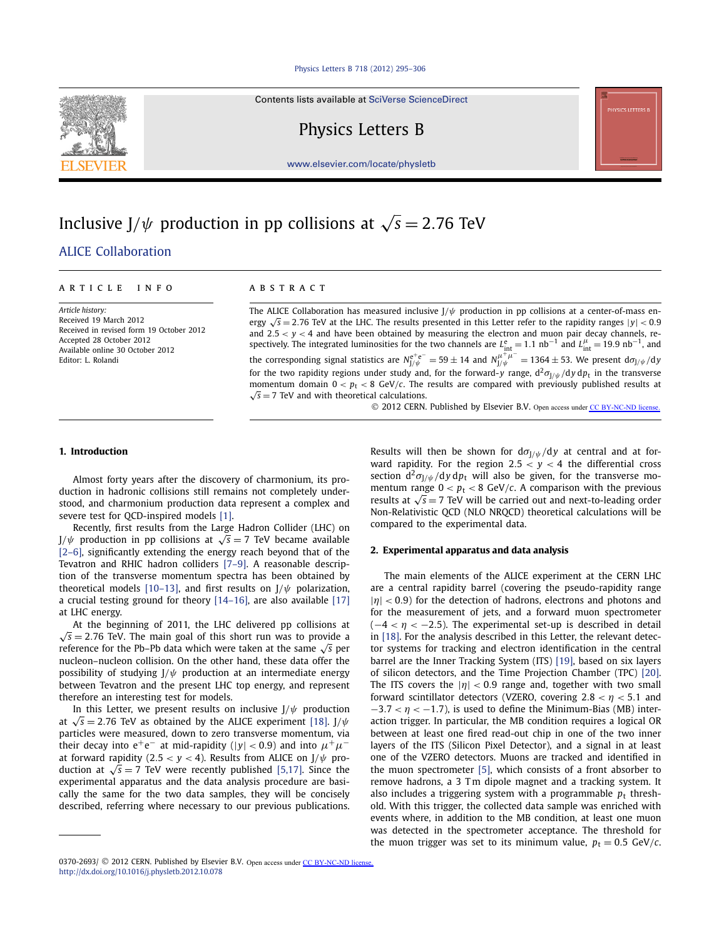Contents lists available at [SciVerse ScienceDirect](http://www.ScienceDirect.com/)

Physics Letters B

[www.elsevier.com/locate/physletb](http://www.elsevier.com/locate/physletb)

# Inclusive J/ $\psi$  production in pp collisions at  $\sqrt{s} = 2.76$  TeV

## [.ALICE Collaboration](#page-6-0)

#### article info abstract

*Article history:* Received 19 March 2012 Received in revised form 19 October 2012 Accepted 28 October 2012 Available online 30 October 2012 Editor: L. Rolandi

The ALICE Collaboration has measured inclusive J*/ψ* production in pp collisions at a center-of-mass energy  $\sqrt{s}$  = 2.76 TeV at the LHC. The results presented in this Letter refer to the rapidity ranges  $|y|$  < 0.9 and  $2.5 < y < 4$  and have been obtained by measuring the electron and muon pair decay channels, respectively. The integrated luminosities for the two channels are  $L_{int}^{e} = 1.1 \text{ nb}^{-1}$  and  $L_{int}^{\mu} = 19.9 \text{ nb}^{-1}$ , and the corresponding signal statistics are  $N_{J/\psi}^{e^+e^-} = 59 \pm 14$  and  $N_{J/\psi}^{\mu^+ \mu^-} = 1364 \pm 53$ . We present d $\sigma_{J/\psi}/dy$ for the two rapidity regions under study and, for the forward-*y* range,  $d^2\sigma_{J/\psi}/dy\,dp_t$  in the transverse momentum domain  $0 < p_t < 8$  GeV/c. The results are compared with previously published results at  $\sqrt{s}$  = 7 TeV and with theoretical calculations.

© 2012 CERN. Published by Elsevier B.V. Open access under [CC BY-NC-ND license.](http://creativecommons.org/licenses/by-nc-nd/4.0/)

#### **1. Introduction**

Almost forty years after the discovery of charmonium, its production in hadronic collisions still remains not completely understood, and charmonium production data represent a complex and severe test for QCD-inspired models [\[1\].](#page-6-0)

Recently, first results from the Large Hadron Collider (LHC) on  $J/\psi$  production in pp collisions at  $\sqrt{s} = 7$  TeV became available [\[2–6\],](#page-6-0) significantly extending the energy reach beyond that of the Tevatron and RHIC hadron colliders [\[7–9\].](#page-6-0) A reasonable description of the transverse momentum spectra has been obtained by theoretical models [\[10–13\],](#page-6-0) and first results on  $J/\psi$  polarization, a crucial testing ground for theory [\[14–16\],](#page-6-0) are also available [\[17\]](#page-6-0) at LHC energy.

At the beginning of 2011, the LHC delivered pp collisions at  $\sqrt{s}$  = 2.76 TeV. The main goal of this short run was to provide a reference for the Pb–Pb data which were taken at the same √*<sup>s</sup>* per nucleon–nucleon collision. On the other hand, these data offer the possibility of studying J*/ψ* production at an intermediate energy between Tevatron and the present LHC top energy, and represent therefore an interesting test for models.

In this Letter, we present results on inclusive  $J/\psi$  production at  $\sqrt{s}$  = 2.76 TeV as obtained by the ALICE experiment [\[18\].](#page-6-0) J/ $\psi$ particles were measured, down to zero transverse momentum, via their decay into  $e^+e^-$  at mid-rapidity (|*y*| < 0.9) and into  $\mu^+\mu^$ at forward rapidity (2.5  $<$  *y*  $<$  4). Results from ALICE on J/ $\psi$  production at  $\sqrt{s} = 7$  TeV were recently published [\[5,17\].](#page-6-0) Since the experimental apparatus and the data analysis procedure are basically the same for the two data samples, they will be concisely described, referring where necessary to our previous publications. Results will then be shown for  $d\sigma_{J/\psi}/dy$  at central and at forward rapidity. For the region  $2.5 < y < 4$  the differential cross section  $d^2\sigma_{J/\psi}/dy\,dp_t$  will also be given, for the transverse momentum range  $0 < p_t < 8$  GeV/*c*. A comparison with the previous results at  $\sqrt{s}$  = 7 TeV will be carried out and next-to-leading order Non-Relativistic QCD (NLO NRQCD) theoretical calculations will be compared to the experimental data.

#### **2. Experimental apparatus and data analysis**

The main elements of the ALICE experiment at the CERN LHC are a central rapidity barrel (covering the pseudo-rapidity range | $|\eta|$  < 0.9) for the detection of hadrons, electrons and photons and for the measurement of jets, and a forward muon spectrometer (−<sup>4</sup> *< η <* −2*.*5). The experimental set-up is described in detail in [\[18\].](#page-6-0) For the analysis described in this Letter, the relevant detector systems for tracking and electron identification in the central barrel are the Inner Tracking System (ITS) [\[19\],](#page-6-0) based on six layers of silicon detectors, and the Time Projection Chamber (TPC) [\[20\].](#page-6-0) The ITS covers the  $|\eta|$  < 0.9 range and, together with two small forward scintillator detectors (VZERO, covering  $2.8 < \eta < 5.1$  and −3*.*<sup>7</sup> *< η <* −1*.*7), is used to define the Minimum-Bias (MB) interaction trigger. In particular, the MB condition requires a logical OR between at least one fired read-out chip in one of the two inner layers of the ITS (Silicon Pixel Detector), and a signal in at least one of the VZERO detectors. Muons are tracked and identified in the muon spectrometer [\[5\],](#page-6-0) which consists of a front absorber to remove hadrons, a 3 Tm dipole magnet and a tracking system. It also includes a triggering system with a programmable  $p_t$  threshold. With this trigger, the collected data sample was enriched with events where, in addition to the MB condition, at least one muon was detected in the spectrometer acceptance. The threshold for the muon trigger was set to its minimum value,  $p_t = 0.5$  GeV/*c*.



<sup>0370-2693/ © 2012</sup> CERN. Published by Elsevier B.V. Open access under [CC BY-NC-ND license.](http://creativecommons.org/licenses/by-nc-nd/4.0/) <http://dx.doi.org/10.1016/j.physletb.2012.10.078>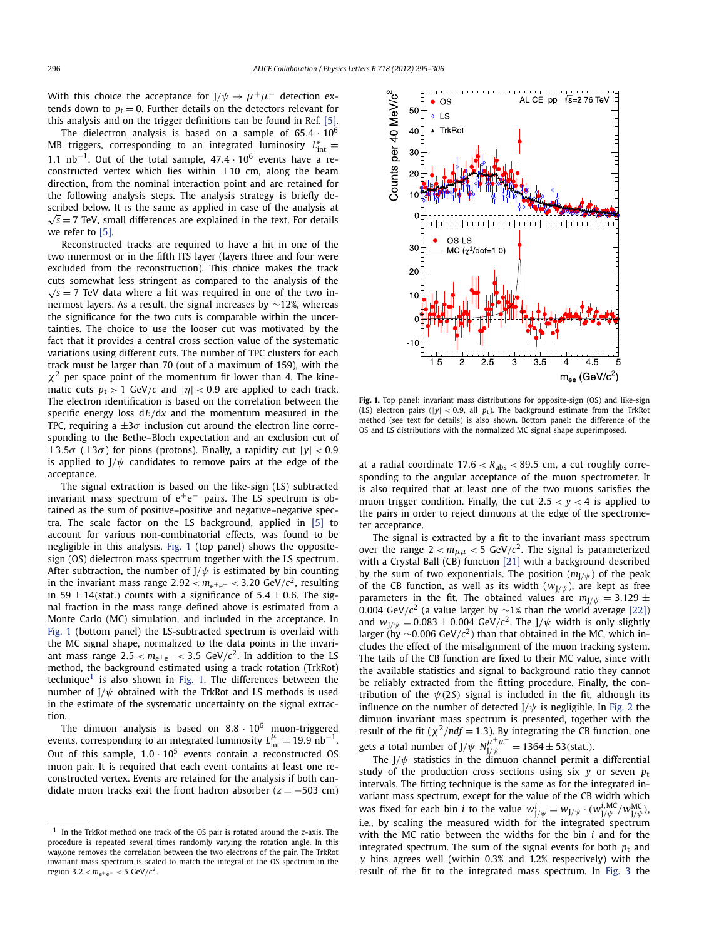With this choice the acceptance for  $J/\psi \rightarrow \mu^+ \mu^-$  detection extends down to  $p_t = 0$ . Further details on the detectors relevant for this analysis and on the trigger definitions can be found in Ref. [\[5\].](#page-6-0)

The dielectron analysis is based on a sample of 65*.*<sup>4</sup> · <sup>10</sup><sup>6</sup> MB triggers, corresponding to an integrated luminosity  $L_{int}^e$ <sup>1</sup>*.*1 nb<sup>−</sup>1. Out of the total sample, 47*.*<sup>4</sup> · 106 events have a reconstructed vertex which lies within  $\pm 10$  cm, along the beam direction, from the nominal interaction point and are retained for the following analysis steps. The analysis strategy is briefly described below. It is the same as applied in case of the analysis at  $\sqrt{s}$  = 7 TeV, small differences are explained in the text. For details we refer to [\[5\].](#page-6-0)

Reconstructed tracks are required to have a hit in one of the two innermost or in the fifth ITS layer (layers three and four were excluded from the reconstruction). This choice makes the track cuts somewhat less stringent as compared to the analysis of the  $\sqrt{s}$  = 7 TeV data where a hit was required in one of the two innermost layers. As a result, the signal increases by ∼12%, whereas the significance for the two cuts is comparable within the uncertainties. The choice to use the looser cut was motivated by the fact that it provides a central cross section value of the systematic variations using different cuts. The number of TPC clusters for each track must be larger than 70 (out of a maximum of 159), with the  $\chi^2$  per space point of the momentum fit lower than 4. The kinematic cuts  $p_t > 1$  GeV/*c* and  $|\eta| < 0.9$  are applied to each track. The electron identification is based on the correlation between the specific energy loss d*E/*d*x* and the momentum measured in the TPC, requiring a  $\pm 3\sigma$  inclusion cut around the electron line corresponding to the Bethe–Bloch expectation and an exclusion cut of  $\pm 3.5\sigma$  ( $\pm 3\sigma$ ) for pions (protons). Finally, a rapidity cut  $|y| < 0.9$ is applied to  $J/\psi$  candidates to remove pairs at the edge of the acceptance.

The signal extraction is based on the like-sign (LS) subtracted invariant mass spectrum of  $e^+e^-$  pairs. The LS spectrum is obtained as the sum of positive–positive and negative–negative spectra. The scale factor on the LS background, applied in [\[5\]](#page-6-0) to account for various non-combinatorial effects, was found to be negligible in this analysis. Fig. 1 (top panel) shows the oppositesign (OS) dielectron mass spectrum together with the LS spectrum. After subtraction, the number of  $J/\psi$  is estimated by bin counting in the invariant mass range  $2.92 < m_{e^+e^-} < 3.20$  GeV/ $c^2$ , resulting in 59  $\pm$  14(stat.) counts with a significance of 5.4  $\pm$  0.6. The signal fraction in the mass range defined above is estimated from a Monte Carlo (MC) simulation, and included in the acceptance. In Fig. 1 (bottom panel) the LS-subtracted spectrum is overlaid with the MC signal shape, normalized to the data points in the invariant mass range  $2.5 < m_{e^+e^-} < 3.5$  GeV/ $c^2$ . In addition to the LS method, the background estimated using a track rotation (TrkRot) technique<sup>1</sup> is also shown in Fig. 1. The differences between the number of J*/ψ* obtained with the TrkRot and LS methods is used in the estimate of the systematic uncertainty on the signal extraction.

The dimuon analysis is based on  $8.8 \cdot 10^6$  muon-triggered events, corresponding to an integrated luminosity  $L_{int}^{\mu} = 19.9 \text{ nb}^{-1}$ . Out of this sample,  $1.0 \cdot 10^5$  events contain a reconstructed OS muon pair. It is required that each event contains at least one reconstructed vertex. Events are retained for the analysis if both candidate muon tracks exit the front hadron absorber  $(z = -503$  cm)



**Fig. 1.** Top panel: invariant mass distributions for opposite-sign (OS) and like-sign (LS) electron pairs ( $|y| < 0.9$ , all  $p_t$ ). The background estimate from the TrkRot method (see text for details) is also shown. Bottom panel: the difference of the OS and LS distributions with the normalized MC signal shape superimposed.

at a radial coordinate  $17.6 < R_{\text{abs}} < 89.5$  cm, a cut roughly corresponding to the angular acceptance of the muon spectrometer. It is also required that at least one of the two muons satisfies the muon trigger condition. Finally, the cut  $2.5 < y < 4$  is applied to the pairs in order to reject dimuons at the edge of the spectrometer acceptance.

The signal is extracted by a fit to the invariant mass spectrum over the range  $2 < m_{\mu\mu} < 5$  GeV/ $c^2$ . The signal is parameterized with a Crystal Ball  $(CB)$  function [\[21\]](#page-6-0) with a background described by the sum of two exponentials. The position  $(m_{1/\psi})$  of the peak of the CB function, as well as its width  $(w_{J/\psi})$ , are kept as free parameters in the fit. The obtained values are  $m_{J/\psi} = 3.129 \pm 1.00$ <sup>0</sup>*.*004 GeV*/c*<sup>2</sup> (a value larger by ∼1% than the world average [\[22\]\)](#page-6-0) and  $w_{J/\psi} = 0.083 \pm 0.004$  GeV/ $c^2$ . The J/ $\psi$  width is only slightly larger (by ∼0*.*006 GeV*/c*2) than that obtained in the MC, which includes the effect of the misalignment of the muon tracking system. The tails of the CB function are fixed to their MC value, since with the available statistics and signal to background ratio they cannot be reliably extracted from the fitting procedure. Finally, the contribution of the  $\psi$ (2*S*) signal is included in the fit, although its influence on the number of detected  $J/\psi$  is negligible. In [Fig. 2](#page-2-0) the dimuon invariant mass spectrum is presented, together with the result of the fit ( $\chi^2$ /*ndf* = 1.3). By integrating the CB function, one gets a total number of  $J/\psi N^{\mu^+\mu^-}_{J/\psi} = 1364 \pm 53$ (stat.).

The  $J/\psi$  statistics in the dimuon channel permit a differential study of the production cross sections using six  $y$  or seven  $p_t$ intervals. The fitting technique is the same as for the integrated invariant mass spectrum, except for the value of the CB width which was fixed for each bin *i* to the value  $w_{J/\psi}^i = w_{J/\psi} \cdot (w_{J/\psi}^{i,MC}/w_{J/\psi}^{MC})$ i.e., by scaling the measured width for the integrated spectrum with the MC ratio between the widths for the bin *i* and for the integrated spectrum. The sum of the signal events for both  $p_t$  and *y* bins agrees well (within 0.3% and 1.2% respectively) with the result of the fit to the integrated mass spectrum. In [Fig. 3](#page-2-0) the

<sup>1</sup> In the TrkRot method one track of the OS pair is rotated around the *z*-axis. The procedure is repeated several times randomly varying the rotation angle. In this way,one removes the correlation between the two electrons of the pair. The TrkRot invariant mass spectrum is scaled to match the integral of the OS spectrum in the region  $3.2 < m_{e^+e^-} < 5$  GeV/ $c^2$ .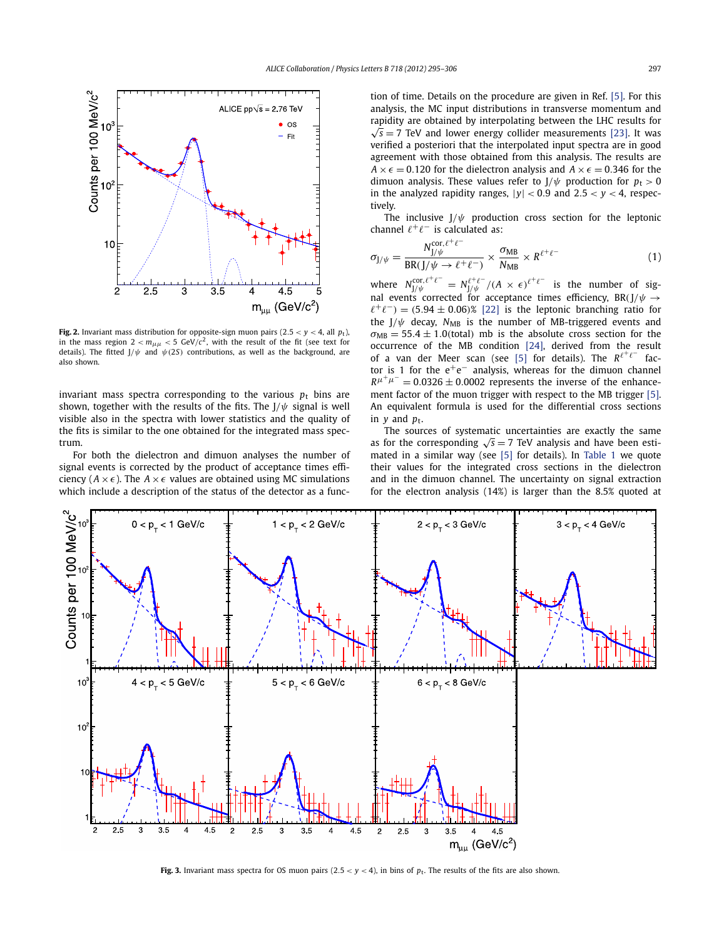<span id="page-2-0"></span>

**Fig. 2.** Invariant mass distribution for opposite-sign muon pairs  $(2.5 < y < 4$ , all  $p_t$ ), in the mass region  $2 < m_{\mu\mu} < 5$  GeV/ $c^2$ , with the result of the fit (see text for details). The fitted  $J/\psi$  and  $\psi$  (2*S*) contributions, as well as the background, are also shown.

invariant mass spectra corresponding to the various  $p_t$  bins are shown, together with the results of the fits. The  $J/\psi$  signal is well visible also in the spectra with lower statistics and the quality of the fits is similar to the one obtained for the integrated mass spectrum.

For both the dielectron and dimuon analyses the number of signal events is corrected by the product of acceptance times efficiency ( $A \times \epsilon$ ). The  $A \times \epsilon$  values are obtained using MC simulations which include a description of the status of the detector as a function of time. Details on the procedure are given in Ref. [\[5\].](#page-6-0) For this analysis, the MC input distributions in transverse momentum and rapidity are obtained by interpolating between the LHC results for  $\sqrt{s}$  = 7 TeV and lower energy collider measurements [\[23\].](#page-6-0) It was verified a posteriori that the interpolated input spectra are in good agreement with those obtained from this analysis. The results are  $A \times \epsilon = 0.120$  for the dielectron analysis and  $A \times \epsilon = 0.346$  for the dimuon analysis. These values refer to  $J/\psi$  production for  $p_t > 0$ in the analyzed rapidity ranges,  $|y| < 0.9$  and  $2.5 < y < 4$ , respectively.

The inclusive  $J/\psi$  production cross section for the leptonic channel  $\ell^+ \ell^-$  is calculated as:

$$
\sigma_{J/\psi} = \frac{N_{J/\psi}^{\text{cor}, \ell^+ \ell^-}}{\text{BR}(J/\psi \to \ell^+ \ell^-)} \times \frac{\sigma_{\text{MB}}}{N_{\text{MB}}} \times R^{\ell^+ \ell^-} \tag{1}
$$

where  $N_{J/\psi}^{\text{cor}, \ell^+ \ell^-} = N_{J/\psi}^{\ell^+ \ell^-} / (A \times \epsilon)^{\ell^+ \ell^-}$  is the number of signal events corrected for acceptance times efficiency,  $BR(J/\psi \rightarrow$  $\ell^+\ell^-$ ) =  $(5.94 \pm 0.06)$ % [\[22\]](#page-6-0) is the leptonic branching ratio for the  $J/\psi$  decay,  $N_{MB}$  is the number of MB-triggered events and  $\sigma_{MB} = 55.4 \pm 1.0$ (total) mb is the absolute cross section for the occurrence of the MB condition [\[24\],](#page-6-0) derived from the result of a van der Meer scan (see [\[5\]](#page-6-0) for details). The  $R^{\ell^+\ell^-}$  factor is 1 for the  $e^+e^-$  analysis, whereas for the dimuon channel  $R^{\mu^+\mu^-} = 0.0326 \pm 0.0002$  represents the inverse of the enhancement factor of the muon trigger with respect to the MB trigger [\[5\].](#page-6-0) An equivalent formula is used for the differential cross sections in  $v$  and  $p_t$ .

The sources of systematic uncertainties are exactly the same as for the corresponding  $\sqrt{s}$  = 7 TeV analysis and have been estimated in a similar way (see [\[5\]](#page-6-0) for details). In [Table 1](#page-3-0) we quote their values for the integrated cross sections in the dielectron and in the dimuon channel. The uncertainty on signal extraction for the electron analysis (14%) is larger than the 8.5% quoted at



**Fig. 3.** Invariant mass spectra for OS muon pairs  $(2.5 < y < 4)$ , in bins of  $p_t$ . The results of the fits are also shown.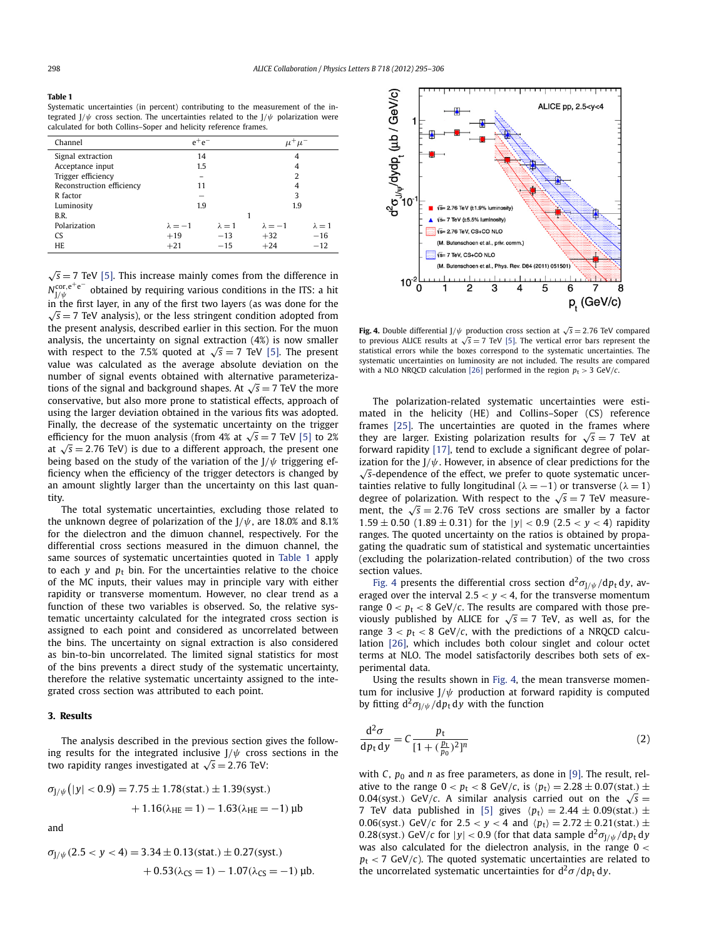#### <span id="page-3-0"></span>**Table 1**

Systematic uncertainties (in percent) contributing to the measurement of the integrated J*/ψ* cross section. The uncertainties related to the J*/ψ* polarization were calculated for both Collins–Soper and helicity reference frames.

| Channel                   | $e^+e^-$       |               | $\mu^+\mu^-$   |               |
|---------------------------|----------------|---------------|----------------|---------------|
| Signal extraction         | 14             |               |                | 4             |
| Acceptance input          | 1.5            |               |                | 4             |
| Trigger efficiency        |                |               |                | 2             |
| Reconstruction efficiency | 11             |               |                | 4             |
| R factor                  |                |               |                | 3             |
| Luminosity                | 1.9            |               |                | 1.9           |
| B.R.                      |                |               |                |               |
| Polarization              | $\lambda = -1$ | $\lambda = 1$ | $\lambda = -1$ | $\lambda = 1$ |
| CS.                       | $+19$          | $-13$         | $+32$          | $-16$         |
| <b>HE</b>                 | $+21$          | $-15$         | $+24$          | $-12$         |

 $\sqrt{s}$  = 7 TeV [\[5\].](#page-6-0) This increase mainly comes from the difference in *N*<sup>cor,e+e<sup>−</sup> obtained by requiring various conditions in the ITS: a hit</sup> in the first layer, in any of the first two layers (as was done for the  $\sqrt{s}$  = 7 TeV analysis), or the less stringent condition adopted from the present analysis, described earlier in this section. For the muon analysis, the uncertainty on signal extraction (4%) is now smaller with respect to the 7.5% quoted at  $\sqrt{s} = 7$  TeV [\[5\].](#page-6-0) The present value was calculated as the average absolute deviation on the number of signal events obtained with alternative parameterizations of the signal and background shapes. At  $\sqrt{s}$  = 7 TeV the more conservative, but also more prone to statistical effects, approach of using the larger deviation obtained in the various fits was adopted. Finally, the decrease of the systematic uncertainty on the trigger efficiency for the muon analysis (from 4% at  $\sqrt{s} = 7$  TeV [\[5\]](#page-6-0) to 2% at  $\sqrt{s}$  = 2.76 TeV) is due to a different approach, the present one being based on the study of the variation of the J*/ψ* triggering efficiency when the efficiency of the trigger detectors is changed by an amount slightly larger than the uncertainty on this last quantity.

The total systematic uncertainties, excluding those related to the unknown degree of polarization of the  $J/\psi$ , are 18.0% and 8.1% for the dielectron and the dimuon channel, respectively. For the differential cross sections measured in the dimuon channel, the same sources of systematic uncertainties quoted in Table 1 apply to each  $y$  and  $p_t$  bin. For the uncertainties relative to the choice of the MC inputs, their values may in principle vary with either rapidity or transverse momentum. However, no clear trend as a function of these two variables is observed. So, the relative systematic uncertainty calculated for the integrated cross section is assigned to each point and considered as uncorrelated between the bins. The uncertainty on signal extraction is also considered as bin-to-bin uncorrelated. The limited signal statistics for most of the bins prevents a direct study of the systematic uncertainty, therefore the relative systematic uncertainty assigned to the integrated cross section was attributed to each point.

#### **3. Results**

The analysis described in the previous section gives the following results for the integrated inclusive J*/ψ* cross sections in the two rapidity ranges investigated at  $\sqrt{s} = 2.76$  TeV:

$$
\sigma_{J/\psi}(|y| < 0.9) = 7.75 \pm 1.78 \text{(stat.)} \pm 1.39 \text{(syst.)} + 1.16(\lambda_{HE} = 1) - 1.63(\lambda_{HE} = -1) \text{ }\mu\text{b}
$$

and

$$
\begin{aligned} \sigma_{J/\psi}(2.5 < y < 4) = 3.34 \pm 0.13(\text{stat.}) \pm 0.27(\text{syst.}) \\ &+ 0.53(\lambda_{CS} = 1) - 1.07(\lambda_{CS} = -1) \text{ }\mu\text{b.} \end{aligned}
$$



**Fig. 4.** Double differential J/ $\psi$  production cross section at  $\sqrt{s} = 2.76$  TeV compared to previous ALICE results at  $\sqrt{s} = 7$  TeV [\[5\].](#page-6-0) The vertical error bars represent the statistical errors while the boxes correspond to the systematic uncertainties. The systematic uncertainties on luminosity are not included. The results are compared with a NLO NRQCD calculation [\[26\]](#page-6-0) performed in the region  $p_t > 3$  GeV/*c*.

The polarization-related systematic uncertainties were estimated in the helicity (HE) and Collins–Soper (CS) reference frames [\[25\].](#page-6-0) The uncertainties are quoted in the frames where they are larger. Existing polarization results for  $\sqrt{s} = 7$  TeV at forward rapidity [\[17\],](#page-6-0) tend to exclude a significant degree of polarization for the  $J/\psi$ . However, in absence of clear predictions for the √*s*-dependence of the effect, we prefer to quote systematic uncertainties relative to fully longitudinal ( $\lambda = -1$ ) or transverse ( $\lambda = 1$ ) degree of polarization. With respect to the  $\sqrt{s} = 7$  TeV measurement, the  $\sqrt{s}$  = 2.76 TeV cross sections are smaller by a factor  $1.59 \pm 0.50$  ( $1.89 \pm 0.31$ ) for the  $|y| < 0.9$  ( $2.5 < y < 4$ ) rapidity ranges. The quoted uncertainty on the ratios is obtained by propagating the quadratic sum of statistical and systematic uncertainties (excluding the polarization-related contribution) of the two cross section values.

Fig. 4 presents the differential cross section  $d^2\sigma_{J/\psi}/dp_t dy$ , averaged over the interval  $2.5 < y < 4$ , for the transverse momentum range  $0 < p_t < 8$  GeV/c. The results are compared with those previously published by ALICE for  $\sqrt{s} = 7$  TeV, as well as, for the range  $3 < p_t < 8$  GeV/*c*, with the predictions of a NRQCD calculation [\[26\],](#page-6-0) which includes both colour singlet and colour octet terms at NLO. The model satisfactorily describes both sets of experimental data.

Using the results shown in Fig. 4, the mean transverse momentum for inclusive J*/ψ* production at forward rapidity is computed by fitting  $d^2\sigma_{J/\psi}/dp_t dy$  with the function

$$
\frac{d^2\sigma}{dp_t dy} = C \frac{p_t}{[1 + (\frac{p_t}{p_0})^2]^n}
$$
 (2)

with *C*,  $p_0$  and *n* as free parameters, as done in [\[9\].](#page-6-0) The result, relative to the range  $0 < p_t < 8$  GeV/*c*, is  $\langle p_t \rangle = 2.28 \pm 0.07$ (stat.)  $\pm$ 0.04(syst.) GeV/*c*. A similar analysis carried out on the  $\sqrt{s}$  = 7 TeV data published in [\[5\]](#page-6-0) gives  $\langle p_t \rangle = 2.44 \pm 0.09$ (stat.)  $\pm$ 0.06(syst.) GeV/*c* for 2.5  $<$  *y*  $<$  4 and  $\langle p_t \rangle = 2.72 \pm 0.21$ (stat.)  $\pm$ 0.28(syst.) GeV/*c* for  $|y| < 0.9$  (for that data sample  $d^2\sigma_{J/\psi}/dp_t dy$ was also calculated for the dielectron analysis, in the range 0 *<*  $p_t$  < 7 GeV/*c*). The quoted systematic uncertainties are related to the uncorrelated systematic uncertainties for  $d^2\sigma/dp_t dv$ .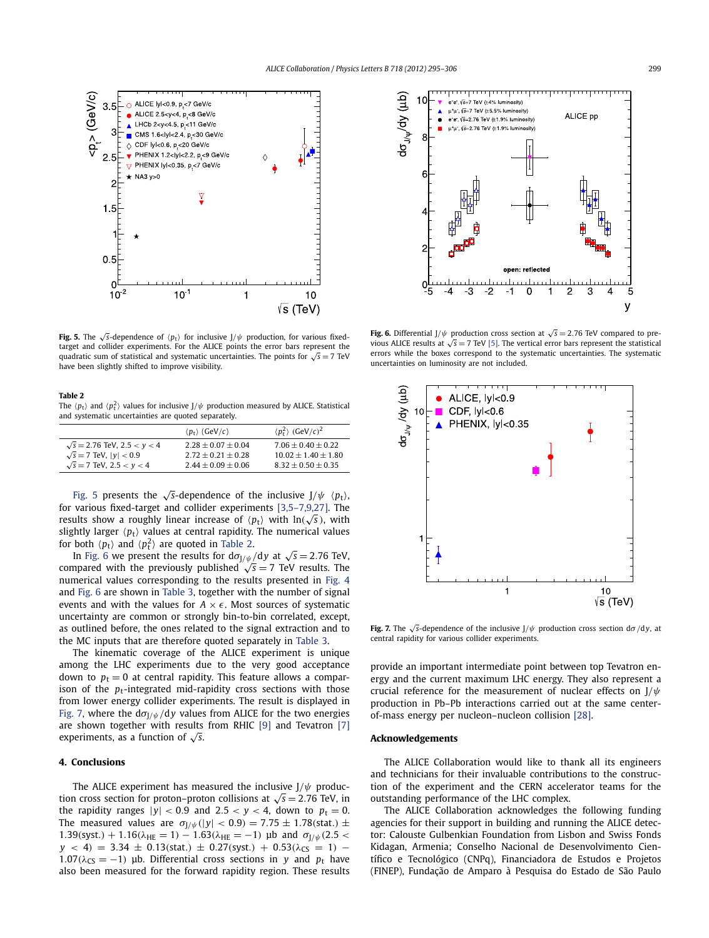

**Fig. 5.** The  $\sqrt{s}$ -dependence of  $\langle p_t \rangle$  for inclusive J/ $\psi$  production, for various fixedtarget and collider experiments. For the ALICE points the error bars represent the quadratic sum of statistical and systematic uncertainties. The points for  $\sqrt{s} = 7$  TeV have been slightly shifted to improve visibility.

#### **Table 2**

The  $\langle p_t \rangle$  and  $\langle p_t^2 \rangle$  values for inclusive J/ $\psi$  production measured by ALICE. Statistical and systematic uncertainties are quoted separately.

|                                    | $\langle p_{\rm t} \rangle$ (GeV/c) | $\langle p_{\rm t}^2 \rangle$ (GeV/c) <sup>2</sup> |
|------------------------------------|-------------------------------------|----------------------------------------------------|
| $\sqrt{s}$ = 2.76 TeV, 2.5 < y < 4 | $2.28 + 0.07 + 0.04$                | $7.06 + 0.40 + 0.22$                               |
| $\sqrt{s}$ = 7 TeV, $ v $ < 0.9    | $2.72 + 0.21 + 0.28$                | $10.02 + 1.40 + 1.80$                              |
| $\sqrt{s}$ = 7 TeV, 2.5 < y < 4    | $2.44 + 0.09 + 0.06$                | $8.32 + 0.50 + 0.35$                               |

Fig. 5 presents the  $\sqrt{s}$ -dependence of the inclusive  $J/\psi$   $\langle p_t \rangle$ , for various fixed-target and collider experiments [\[3,5–7,9,27\].](#page-6-0) The results show a roughly linear increase of  $\langle p_t \rangle$  with  $\ln(\sqrt{s})$ , with slightly larger  $\langle p_t \rangle$  values at central rapidity. The numerical values for both  $\langle p_{\rm t} \rangle$  and  $\langle p_{\rm t}^2 \rangle$  are quoted in Table 2.

In Fig. 6 we present the results for  $d\sigma_{J/\psi}/dy$  at  $\sqrt{s} = 2.76$  TeV, compared with the previously published  $\sqrt{s} = 7$  TeV results. The numerical values corresponding to the results presented in [Fig. 4](#page-3-0) and Fig. 6 are shown in [Table 3,](#page-5-0) together with the number of signal events and with the values for  $A \times \epsilon$ . Most sources of systematic uncertainty are common or strongly bin-to-bin correlated, except, as outlined before, the ones related to the signal extraction and to the MC inputs that are therefore quoted separately in [Table 3.](#page-5-0)

The kinematic coverage of the ALICE experiment is unique among the LHC experiments due to the very good acceptance down to  $p_t = 0$  at central rapidity. This feature allows a comparison of the *p*<sub>t</sub>-integrated mid-rapidity cross sections with those from lower energy collider experiments. The result is displayed in Fig. 7, where the  $d\sigma_{1/\psi}/dy$  values from ALICE for the two energies are shown together with results from RHIC [\[9\]](#page-6-0) and Tevatron [\[7\]](#page-6-0) experiments, as a function of  $\sqrt{s}$ .

#### **4. Conclusions**

The ALICE experiment has measured the inclusive  $J/\psi$  production cross section for proton–proton collisions at  $\sqrt{s} = 2.76$  TeV, in the rapidity ranges  $|y| < 0.9$  and  $2.5 < y < 4$ , down to  $p_t = 0$ . The measured values are  $\sigma_{J/\psi}(|y| < 0.9) = 7.75 \pm 1.78$ (stat.)  $\pm$  $1.39$ (syst.) + 1.16( $\lambda$ <sub>HE</sub> = 1) − 1.63( $\lambda$ <sub>HE</sub> = −1) µb and  $\sigma_{J/\psi}$ (2.5 < *y* < 4*)* = 3.34 ± 0.13*(stat.)* ± 0.27*(syst.)* + 0.53*(* $λ$ <sub>CS</sub> = 1*)* −  $1.07(\lambda_{CS} = -1)$  μb. Differential cross sections in *y* and *p*<sub>t</sub> have also been measured for the forward rapidity region. These results



**Fig. 6.** Differential J/ $\psi$  production cross section at  $\sqrt{s} = 2.76$  TeV compared to previous ALICE results at  $\sqrt{s}$  = 7 TeV [\[5\].](#page-6-0) The vertical error bars represent the statistical errors while the boxes correspond to the systematic uncertainties. The systematic uncertainties on luminosity are not included.



**Fig. 7.** The <sup>√</sup>*s*-dependence of the inclusive J*/ψ* production cross section d*σ/*d*y*, at central rapidity for various collider experiments.

provide an important intermediate point between top Tevatron energy and the current maximum LHC energy. They also represent a crucial reference for the measurement of nuclear effects on J*/ψ* production in Pb–Pb interactions carried out at the same centerof-mass energy per nucleon–nucleon collision [\[28\].](#page-6-0)

#### **Acknowledgements**

The ALICE Collaboration would like to thank all its engineers and technicians for their invaluable contributions to the construction of the experiment and the CERN accelerator teams for the outstanding performance of the LHC complex.

The ALICE Collaboration acknowledges the following funding agencies for their support in building and running the ALICE detector: Calouste Gulbenkian Foundation from Lisbon and Swiss Fonds Kidagan, Armenia; Conselho Nacional de Desenvolvimento Científico e Tecnológico (CNPq), Financiadora de Estudos e Projetos (FINEP), Fundação de Amparo à Pesquisa do Estado de São Paulo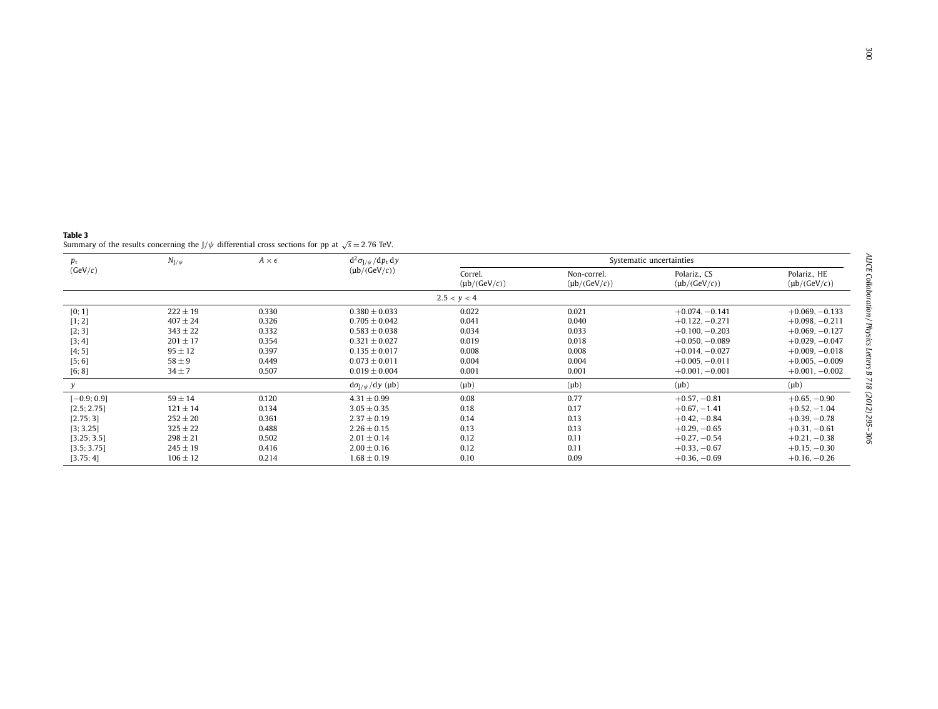| Table 3 |                                                                                                             |
|---------|-------------------------------------------------------------------------------------------------------------|
|         | Summary of the results concerning the $J/\psi$ differential cross sections for pp at $\sqrt{s} = 2.76$ TeV. |

<span id="page-5-0"></span>

| $N_{J/\psi}$<br>$p_{\rm t}$<br>(GeV/c) |              | $A \times \epsilon$ | $d^2\sigma_{J/\psi}/dp_t dy$ | Systematic uncertainties         |                                   |                                   |                  |
|----------------------------------------|--------------|---------------------|------------------------------|----------------------------------|-----------------------------------|-----------------------------------|------------------|
|                                        |              | $(\mu b/(GeV/c))$   | Correl.<br>$(\mu b/(GeV/c))$ | Non-correl.<br>$(\mu b/(GeV/c))$ | Polariz., CS<br>$(\mu b/(GeV/c))$ | Polariz., HE<br>$(\mu b/(GeV/c))$ |                  |
|                                        |              |                     |                              | 2.5 < y < 4                      |                                   |                                   |                  |
| [0; 1]                                 | $222 \pm 19$ | 0.330               | $0.380 \pm 0.033$            | 0.022                            | 0.021                             | $+0.074, -0.141$                  | $+0.069, -0.133$ |
| [1; 2]                                 | $407 \pm 24$ | 0.326               | $0.705 \pm 0.042$            | 0.041                            | 0.040                             | $+0.122, -0.271$                  | $+0.098, -0.211$ |
| [2; 3]                                 | $343 \pm 22$ | 0.332               | $0.583 \pm 0.038$            | 0.034                            | 0.033                             | $+0.100, -0.203$                  | $+0.069, -0.127$ |
| [3; 4]                                 | $201 \pm 17$ | 0.354               | $0.321 \pm 0.027$            | 0.019                            | 0.018                             | $+0.050, -0.089$                  | $+0.029, -0.047$ |
| [4; 5]                                 | $95 \pm 12$  | 0.397               | $0.135 \pm 0.017$            | 0.008                            | 0.008                             | $+0.014, -0.027$                  | $+0.009, -0.018$ |
| [5; 6]                                 | $58 \pm 9$   | 0.449               | $0.073 \pm 0.011$            | 0.004                            | 0.004                             | $+0.005, -0.011$                  | $+0.005, -0.009$ |
| [6; 8]                                 | $34 \pm 7$   | 0.507               | $0.019 \pm 0.004$            | 0.001                            | 0.001                             | $+0.001, -0.001$                  | $+0.001, -0.002$ |
|                                        |              |                     | $d\sigma_{1/\psi}/dy$ (µb)   | $(\mu b)$                        | $(\mu b)$                         | $(\mu b)$                         | $(\mu b)$        |
| $[-0.9; 0.9]$                          | $59 \pm 14$  | 0.120               | $4.31 \pm 0.99$              | 0.08                             | 0.77                              | $+0.57, -0.81$                    | $+0.65, -0.90$   |
| [2.5; 2.75]                            | $121 \pm 14$ | 0.134               | $3.05 \pm 0.35$              | 0.18                             | 0.17                              | $+0.67, -1.41$                    | $+0.52, -1.04$   |
| [2.75; 3]                              | $252 \pm 20$ | 0.361               | $2.37 \pm 0.19$              | 0.14                             | 0.13                              | $+0.42, -0.84$                    | $+0.39, -0.78$   |
| [3; 3.25]                              | $325 \pm 22$ | 0.488               | $2.26 \pm 0.15$              | 0.13                             | 0.13                              | $+0.29, -0.65$                    | $+0.31, -0.61$   |
| [3.25; 3.5]                            | $298 \pm 21$ | 0.502               | $2.01 \pm 0.14$              | 0.12                             | 0.11                              | $+0.27, -0.54$                    | $+0.21, -0.38$   |
| [3.5; 3.75]                            | $245 \pm 19$ | 0.416               | $2.00 \pm 0.16$              | 0.12                             | 0.11                              | $+0.33, -0.67$                    | $+0.15, -0.30$   |
| [3.75; 4]                              | $106 \pm 12$ | 0.214               | $1.68 \pm 0.19$              | 0.10                             | 0.09                              | $+0.36, -0.69$                    | $+0.16, -0.26$   |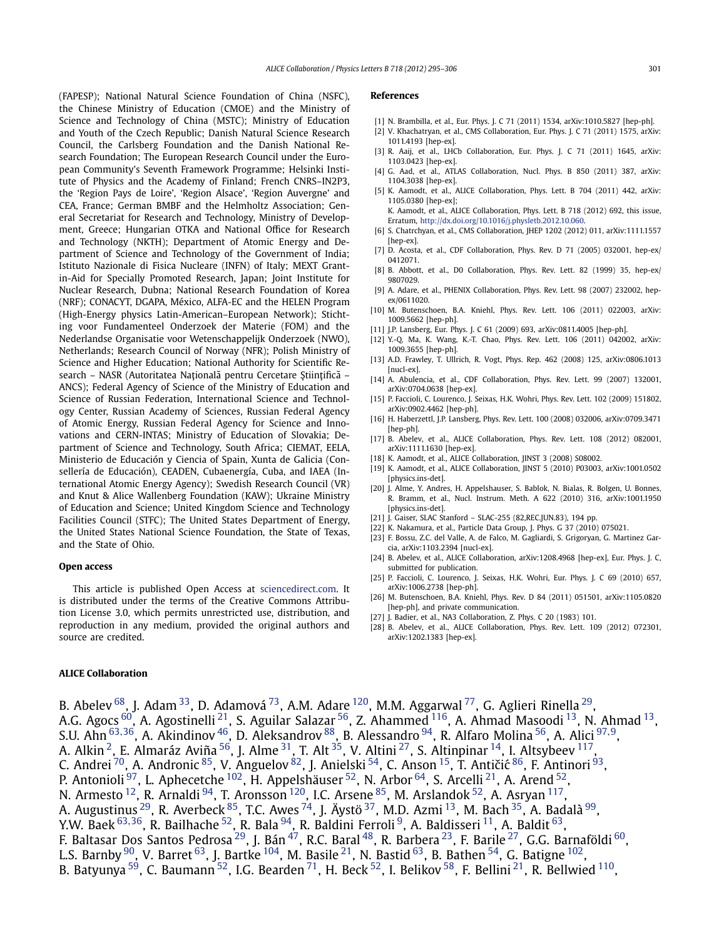<span id="page-6-0"></span>(FAPESP); National Natural Science Foundation of China (NSFC), the Chinese Ministry of Education (CMOE) and the Ministry of Science and Technology of China (MSTC); Ministry of Education and Youth of the Czech Republic; Danish Natural Science Research Council, the Carlsberg Foundation and the Danish National Research Foundation; The European Research Council under the European Community's Seventh Framework Programme; Helsinki Institute of Physics and the Academy of Finland; French CNRS–IN2P3, the 'Region Pays de Loire', 'Region Alsace', 'Region Auvergne' and CEA, France; German BMBF and the Helmholtz Association; General Secretariat for Research and Technology, Ministry of Development, Greece; Hungarian OTKA and National Office for Research and Technology (NKTH); Department of Atomic Energy and Department of Science and Technology of the Government of India; Istituto Nazionale di Fisica Nucleare (INFN) of Italy; MEXT Grantin-Aid for Specially Promoted Research, Japan; Joint Institute for Nuclear Research, Dubna; National Research Foundation of Korea (NRF); CONACYT, DGAPA, México, ALFA-EC and the HELEN Program (High-Energy physics Latin-American–European Network); Stichting voor Fundamenteel Onderzoek der Materie (FOM) and the Nederlandse Organisatie voor Wetenschappelijk Onderzoek (NWO), Netherlands; Research Council of Norway (NFR); Polish Ministry of Science and Higher Education; National Authority for Scientific Research – NASR (Autoritatea Națională pentru Cercetare Științifică – ANCS); Federal Agency of Science of the Ministry of Education and Science of Russian Federation, International Science and Technology Center, Russian Academy of Sciences, Russian Federal Agency of Atomic Energy, Russian Federal Agency for Science and Innovations and CERN-INTAS; Ministry of Education of Slovakia; Department of Science and Technology, South Africa; CIEMAT, EELA, Ministerio de Educación y Ciencia of Spain, Xunta de Galicia (Consellería de Educación), CEADEN, Cubaenergía, Cuba, and IAEA (International Atomic Energy Agency); Swedish Research Council (VR) and Knut & Alice Wallenberg Foundation (KAW); Ukraine Ministry of Education and Science; United Kingdom Science and Technology Facilities Council (STFC); The United States Department of Energy, the United States National Science Foundation, the State of Texas, and the State of Ohio.

#### **Open access**

This article is published Open Access at [sciencedirect.com.](http://www.sciencedirect.com) It is distributed under the terms of the Creative Commons Attribution License 3.0, which permits unrestricted use, distribution, and reproduction in any medium, provided the original authors and source are credited.

#### **References**

- [1] N. Brambilla, et al., Eur. Phys. J. C 71 (2011) 1534, arXiv:1010.5827 [hep-ph].
- [2] V. Khachatryan, et al., CMS Collaboration, Eur. Phys. J. C 71 (2011) 1575, arXiv: 1011.4193 [hep-ex].
- [3] R. Aaij, et al., LHCb Collaboration, Eur. Phys. J. C 71 (2011) 1645, arXiv: 1103.0423 [hep-ex].
- [4] G. Aad, et al., ATLAS Collaboration, Nucl. Phys. B 850 (2011) 387, arXiv: 1104.3038 [hep-ex].
- [5] K. Aamodt, et al., ALICE Collaboration, Phys. Lett. B 704 (2011) 442, arXiv: 1105.0380 [hep-ex];
	- K. Aamodt, et al., ALICE Collaboration, Phys. Lett. B 718 (2012) 692, this issue, Erratum, [http://dx.doi.org/10.1016/j.physletb.2012.10.060.](http://dx.doi.org/10.1016/j.physletb.2012.10.060)
- [6] S. Chatrchyan, et al., CMS Collaboration, JHEP 1202 (2012) 011, arXiv:1111.1557 [hep-ex].
- D. Acosta, et al., CDF Collaboration, Phys. Rev. D 71 (2005) 032001, hep-ex/ 0412071.
- [8] B. Abbott, et al., D0 Collaboration, Phys. Rev. Lett. 82 (1999) 35, hep-ex/ 9807029.
- [9] A. Adare, et al., PHENIX Collaboration, Phys. Rev. Lett. 98 (2007) 232002, hepex/0611020.
- [10] M. Butenschoen, B.A. Kniehl, Phys. Rev. Lett. 106 (2011) 022003, arXiv: 1009.5662 [hep-ph].
- [11] J.P. Lansberg, Eur. Phys. J. C 61 (2009) 693, arXiv:0811.4005 [hep-ph].
- Y.-Q. Ma, K. Wang, K.-T. Chao, Phys. Rev. Lett. 106 (2011) 042002, arXiv: 1009.3655 [hep-ph].
- [13] A.D. Frawley, T. Ullrich, R. Vogt, Phys. Rep. 462 (2008) 125, arXiv:0806.1013 [nucl-ex].
- [14] A. Abulencia, et al., CDF Collaboration, Phys. Rev. Lett. 99 (2007) 132001, arXiv:0704.0638 [hep-ex].
- [15] P. Faccioli, C. Lourenco, J. Seixas, H.K. Wohri, Phys. Rev. Lett. 102 (2009) 151802, arXiv:0902.4462 [hep-ph].
- [16] H. Haberzettl, J.P. Lansberg, Phys. Rev. Lett. 100 (2008) 032006, arXiv:0709.3471 [hep-ph].
- [17] B. Abeley, et al., ALICE Collaboration, Phys. Rev. Lett. 108 (2012) 082001. arXiv:1111.1630 [hep-ex].
- [18] K. Aamodt, et al., ALICE Collaboration, JINST 3 (2008) S08002.
- [19] K. Aamodt, et al., ALICE Collaboration, JINST 5 (2010) P03003, arXiv:1001.0502 [physics.ins-det].
- [20] J. Alme, Y. Andres, H. Appelshauser, S. Bablok, N. Bialas, R. Bolgen, U. Bonnes, R. Bramm, et al., Nucl. Instrum. Meth. A 622 (2010) 316, arXiv:1001.1950 [physics.ins-det].
- [21] J. Gaiser, SLAC Stanford SLAC-255 (82, REC. JUN.83), 194 pp.
- [22] K. Nakamura, et al., Particle Data Group, J. Phys. G 37 (2010) 075021.
- [23] F. Bossu, Z.C. del Valle, A. de Falco, M. Gagliardi, S. Grigoryan, G. Martinez Garcia, arXiv:1103.2394 [nucl-ex].
- [24] B. Abelev, et al., ALICE Collaboration, arXiv:1208.4968 [hep-ex], Eur. Phys. J. C, submitted for publication.
- [25] P. Faccioli, C. Lourenco, J. Seixas, H.K. Wohri, Eur. Phys. J. C 69 (2010) 657, arXiv:1006.2738 [hep-ph].
- [26] M. Butenschoen, B.A. Kniehl, Phys. Rev. D 84 (2011) 051501, arXiv:1105.0820 [hep-ph], and private communication.
- [27] J. Badier, et al., NA3 Collaboration, Z. Phys. C 20 (1983) 101.
- [28] B. Abelev, et al., ALICE Collaboration, Phys. Rev. Lett. 109 (2012) 072301, arXiv:1202.1383 [hep-ex].

### **ALICE Collaboration**

B. Abelev  $^{68}$  $^{68}$  $^{68}$ , J. Adam  $^{33}$  $^{33}$  $^{33}$ , D. Adamová  $^{73}$ , A.M. Adare  $^{120}$ , M.M. Aggarwal  $^{77}$ , G. Aglieri Rinella  $^{29}$ , A.G. Agocs  $^{60}$  $^{60}$  $^{60}$ , A. Agostinelli $^{\mathrm{21}}$ , S. Aguilar Salazar  $^{56}$ , Z. Ahammed  $^{116}$ , A. Ahmad Masoodi  $^{13}$  $^{13}$  $^{13}$ , N. Ahmad  $^{13}$ , S.U. Ahn [63](#page-10-0)*,*[36,](#page-10-0) A. Akindinov [46,](#page-10-0) D. Aleksandrov [88,](#page-10-0) B. Alessandro [94,](#page-10-0) R. Alfaro Molina [56,](#page-10-0) A. Alici [97](#page-10-0)*,*[9,](#page-9-0) A. Alkin <sup>2</sup>, E. Almaráz Aviña <sup>56</sup>, J. Alme <sup>31</sup>, T. Alt <sup>35</sup>, V. Altini <sup>27</sup>, S. Altinpinar <sup>14</sup>, I. Altsybeev <sup>117</sup>, C. Andrei <sup>70</sup>, A. Andronic <sup>85</sup>, V. Anguelov <sup>82</sup>, J. Anielski <sup>54</sup>, C. Anson <sup>15</sup>, T. Antičić <sup>86</sup>, F. Antinori <sup>93</sup>, P. Antonioli<sup>97</sup>, L. Aphecetche <sup>102</sup>, H. Appelshäuser <sup>52</sup>, N. Arbor <sup>64</sup>, S. Arcelli<sup>21</sup>, A. Arend <sup>52</sup>, N. Armesto  $12$ , R. Arnaldi  $94$ , T. Aronsson  $120$ , I.C. Arsene  $85$ , M. Arslandok  $52$ , A. Asryan  $117$ , A. Augustinus <sup>29</sup>, R. Averbeck <sup>85</sup>, T.C. Awes <sup>74</sup>, J. Äystö <sup>[37](#page-10-0)</sup>, M.D. Azmi <sup>13</sup>, M. Bach <sup>[35](#page-10-0)</sup>, A. Badalà <sup>99</sup>, Y.W. Baek [63](#page-10-0)*,*[36,](#page-10-0) R. Bailhache [52,](#page-10-0) R. Bala [94,](#page-10-0) R. Baldini Ferroli [9,](#page-9-0) A. Baldisseri [11,](#page-9-0) A. Baldit [63,](#page-10-0) F. Baltasar Dos Santos Pedrosa $^{29}$  $^{29}$  $^{29}$ , J. Bán $^{47}$  $^{47}$  $^{47}$ , R.C. Baral $^{48}$ , R. Barbera $^{23}$ , F. Barile $^{27}$  $^{27}$  $^{27}$ , G.G. Barnaföldi  $^{60}$ , L.S. Barnby  $^{90}$ , V. Barret  $^{63}$ , J. Bartke  $^{104}$ , M. Basile  $^{21}$ , N. Bastid  $^{63}$ , B. Bathen  $^{54}$ , G. Batigne  $^{102}$ , B. Batyunya  $59$ , C. Baumann  $52$ , I.G. Bearden  $71$ , H. Beck  $52$ , I. Belikov  $58$ , F. Bellini  $21$ , R. Bellwied  $110$ ,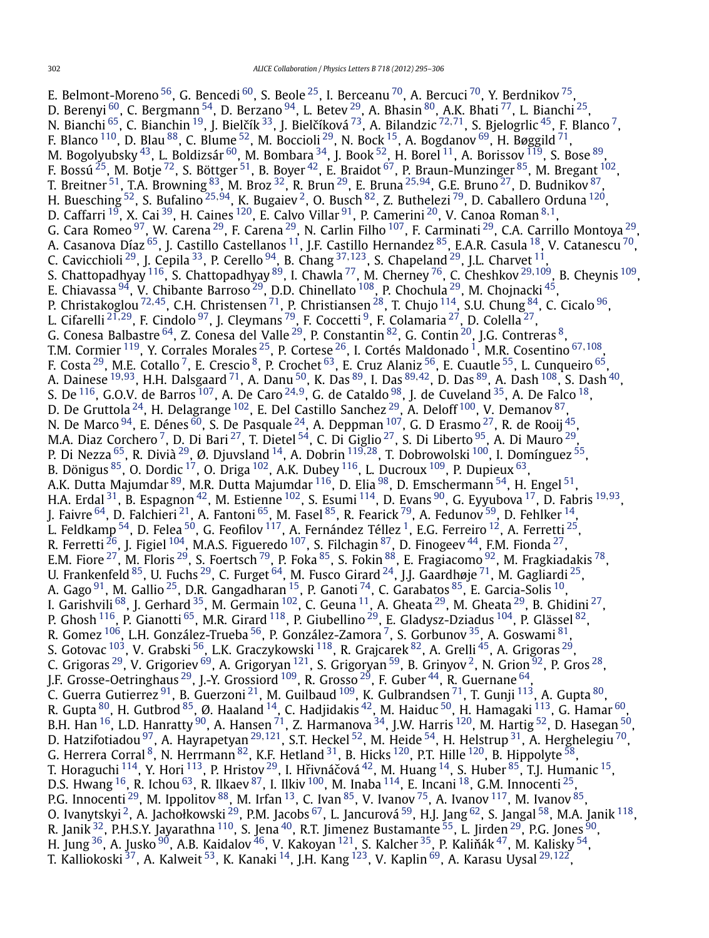E. Belmont-Moreno <sup>56</sup>, G. Bencedi <sup>60</sup>, S. Beole <sup>25</sup>, I. Berceanu <sup>[70](#page-10-0)</sup>, A. Bercuci <sup>70</sup>, Y. Berdnikov <sup>75</sup>, D. Berenyi  $^{60}$  $^{60}$  $^{60}$ , C. Bergmann  $^{54}$ , D. Berzano  $^{94}$ , L. Betev  $^{29}$ , A. Bhasin  $^{80}$ , A.K. Bhati  $^{77}$ , L. Bianchi  $^{25}$ , N. Bianchi <sup>65</sup>, C. Bianchin <sup>19</sup>, J. Bielčík <sup>33</sup>, J. Bielčíková <sup>73</sup>, A. Bilandzic <sup>[72](#page-10-0),71</sup>, S. Bjelogrlic <sup>45</sup>, F. Blanco <sup>7</sup>, F. Blanco  $^{110}$ , D. Blau  $^{88}$ , C. Blume  $^{52}$ , M. Boccioli  $^{29}$ , N. Bock  $^{15}$ , A. Bogdanov  $^{69}$ , H. Bøggild  $^{71}$ , M. Bogolyubsky $^{43}$ , L. Boldizsár $^{60}$ , M. Bombara $^{34}$ , J. Book $^{52}$ , H. Borel $^{11}$ , A. Borissov $^{119}$ , S. Bose $^{89}$ , F. Bossú  $^{25}$ , M. Botje  $^{72}$ , S. Böttger  $^{51}$ , B. Boyer  $^{42}$ , E. Braidot  $^{67}$ , P. Braun-Munzinger  $^{85}$ , M. Bregant  $^{102}$ , T. Breitner [51,](#page-10-0) T.A. Browning [83,](#page-10-0) M. Broz [32,](#page-10-0) R. Brun [29,](#page-10-0) E. Bruna [25](#page-9-0)*,*[94,](#page-10-0) G.E. Bruno [27,](#page-10-0) D. Budnikov [87,](#page-10-0) H. Buesching [52,](#page-10-0) S. Bufalino [25](#page-9-0)*,*[94,](#page-10-0) K. Bugaiev [2,](#page-9-0) O. Busch [82,](#page-10-0) Z. Buthelezi [79,](#page-10-0) D. Caballero Orduna [120,](#page-11-0) D. Caffarri [19,](#page-9-0) X. Cai [39](#page-10-0), H. Caines [120,](#page-11-0) E. Calvo Villar [91,](#page-10-0) P. Camerini [20](#page-9-0), V. Canoa Roman [8](#page-9-0)*,*[1,](#page-9-0) G. Cara Romeo <sup>97</sup>, W. Carena <sup>29</sup>, F. Carena <sup>29</sup>, N. Carlin Filho <sup>107</sup>, F. Carminati <sup>29</sup>, C.A. Carrillo Montoya <sup>29</sup>, A. Casanova Díaz $^{65}$ , J. Castillo Castellanos  $^{11}$ , J.F. Castillo Hernandez  $^{85}$ , E.A.R. Casula  $^{18}$ , V. Catanescu  $^{70}$ , C. Cavicchioli [29,](#page-10-0) J. Cepila [33,](#page-10-0) P. Cerello [94,](#page-10-0) B. Chang [37](#page-10-0)*,*[123,](#page-11-0) S. Chapeland [29,](#page-10-0) J.L. Charvet [11,](#page-9-0) S. Chattopadhyay [116,](#page-11-0) S. Chattopadhyay [89,](#page-10-0) I. Chawla [77,](#page-10-0) M. Cherney [76,](#page-10-0) C. Cheshkov [29](#page-10-0)*,*[109,](#page-11-0) B. Cheynis [109,](#page-11-0) E. Chiavassa  $^{94}$ , V. Chibante Barroso  $^{29}$ , D.D. Chinellato  $^{108}$ , P. Chochula  $^{29}$ , M. Chojnacki  $^{45}$ , P. Christakoglou [72](#page-10-0)*,*[45,](#page-10-0) C.H. Christensen [71,](#page-10-0) P. Christiansen [28,](#page-10-0) T. Chujo [114,](#page-11-0) S.U. Chung [84,](#page-10-0) C. Cicalo [96,](#page-10-0) L. Cifarelli [21](#page-9-0)*,*[29,](#page-10-0) F. Cindolo [97,](#page-10-0) J. Cleymans [79,](#page-10-0) F. Coccetti [9,](#page-9-0) F. Colamaria [27,](#page-10-0) D. Colella [27,](#page-10-0) G. Conesa Balbastre $^{64}$ , Z. Conesa del Valle $^{29}$ , P. Constantin $^{82}$  $^{82}$  $^{82}$ , G. Contin $^{20}$ , J.G. Contreras $^8$ , T.M. Cormier [119,](#page-11-0) Y. Corrales Morales [25,](#page-9-0) P. Cortese [26,](#page-9-0) I. Cortés Maldonado [1,](#page-9-0) M.R. Cosentino [67](#page-10-0)*,*[108,](#page-11-0) F. Costa <sup>29</sup>, M.E. Cotallo <sup>7</sup>, E. Crescio <sup>8</sup>, P. Crochet <sup>[63](#page-10-0)</sup>, E. Cruz Alaniz <sup>56</sup>, E. Cuautle <sup>55</sup>, L. Cunqueiro <sup>65</sup>, A. Dainese [19](#page-9-0)*,*[93,](#page-10-0) H.H. Dalsgaard [71,](#page-10-0) A. Danu [50,](#page-10-0) K. Das [89,](#page-10-0) I. Das [89](#page-10-0)*,*[42,](#page-10-0) D. Das [89,](#page-10-0) A. Dash [108,](#page-11-0) S. Dash [40,](#page-10-0) S. De [116,](#page-11-0) G.O.V. de Barros [107,](#page-11-0) A. De Caro [24](#page-9-0)*,*[9](#page-9-0), G. de Cataldo [98,](#page-10-0) J. de Cuveland [35,](#page-10-0) A. De Falco [18,](#page-9-0) D. De Gruttola  $^{24}$ , H. Delagrange  $^{102}$ , E. Del Castillo Sanchez  $^{29}$  $^{29}$  $^{29}$ , A. Deloff  $^{100}$ , V. Demanov  $^{87},$ N. De Marco  $^{94}$  $^{94}$  $^{94}$ , E. Dénes  $^{60}$ , S. De Pasquale  $^{24}$ , A. Deppman  $^{107}$ , G. D Erasmo  $^{27}$ , R. de Rooij  $^{45},$ M.A. Diaz Corchero <sup>7</sup>, D. Di Bari  $^{27}$ , T. Dietel  $^{54}$ , C. Di Giglio  $^{27}$ , S. Di Liberto  $^{95}$ , A. Di Mauro  $^{29}$ , P. Di Nezza [65,](#page-10-0) R. Divià [29,](#page-10-0) Ø. Djuvsland [14](#page-9-0), A. Dobrin [119](#page-11-0)*,*[28,](#page-10-0) T. Dobrowolski [100,](#page-10-0) I. Domínguez [55,](#page-10-0) B. Dönigus  $^{85}$  $^{85}$  $^{85}$ , O. Dordic  $^{17}$ , O. Driga  $^{102}$  $^{102}$  $^{102}$ , A.K. Dubey  $^{116}$ , L. Ducroux  $^{109}$ , P. Dupieux  $^{63}$  $^{63}$  $^{63}$ , A.K. Dutta Majumdar <sup>89</sup>, M.R. Dutta Majumdar <sup>116</sup>, D. Elia <sup>98</sup>, D. Emschermann <sup>54</sup>, H. Engel <sup>51</sup>, H.A. Erdal [31,](#page-10-0) B. Espagnon [42,](#page-10-0) M. Estienne [102,](#page-10-0) S. Esumi [114,](#page-11-0) D. Evans [90,](#page-10-0) G. Eyyubova [17,](#page-9-0) D. Fabris [19](#page-9-0)*,*[93,](#page-10-0) J. Faivre  $^{64}$  $^{64}$  $^{64}$ , D. Falchieri  $^{21}$ , A. Fantoni  $^{65}$ , M. Fasel  $^{85}$  $^{85}$  $^{85}$ , R. Fearick  $^{79}$ , A. Fedunov  $^{59}$ , D. Fehlker  $^{14}$ , L. Feldkamp  $^{54}$ , D. Felea  $^{50}$ , G. Feofilov  $^{117}$  $^{117}$  $^{117}$ , A. Fernández Téllez  $^1$ , E.G. Ferreiro  $^{12}$ , A. Ferretti  $^{25}$ , R. Ferretti  $^{26}$ , J. Figiel  $^{104}$ , M.A.S. Figueredo  $^{107}$ , S. Filchagin  $^{87}$ , D. Finogeev  $^{44}$ , F.M. Fionda  $^{27},$ E.M. Fiore  $^{27}$ , M. Floris  $^{29}$ , S. Foertsch  $^{79}$ , P. Foka  $^{85}$ , S. Fokin  $^{88}$ , E. Fragiacomo  $^{92}$ , M. Fragkiadakis  $^{78},$ U. Frankenfeld  $^{85}$ , U. Fuchs  $^{29}$ , C. Furget  $^{64}$ , M. Fusco Girard  $^{24}$ , J.J. Gaardhøje  $^{71}$ , M. Gagliardi  $^{25}$ , A. Gago  $^{91}$ , M. Gallio  $^{25}$  $^{25}$  $^{25}$ , D.R. Gangadharan  $^{15}$ , P. Ganoti  $^{74}$ , C. Garabatos  $^{85}$ , E. Garcia-Solis  $^{10}$ , I. Garishvili  $^{68}$ , J. Gerhard  $^{35}$  $^{35}$  $^{35}$ , M. Germain  $^{102}$  $^{102}$  $^{102}$ , C. Geuna  $^{11}$ , A. Gheata  $^{29}$ , M. Gheata  $^{29}$ , B. Ghidini  $^{27}$ , P. Ghosh  $^{116}$ , P. Gianotti  $^{65}$  $^{65}$  $^{65}$ , M.R. Girard  $^{118}$ , P. Giubellino  $^{29}$ , E. Gladysz-Dziadus  $^{104}$ , P. Glässel  $^{82}$ , R. Gomez  $^{106}$ , L.H. González-Trueba  $^{56}$ , P. González-Zamora  $^7$ , S. Gorbunov  $^{35}$ , A. Goswami  $^{81}$ , S. Gotovac <sup>103</sup>, V. Grabski <sup>56</sup>, L.K. Graczykowski <sup>118</sup>, R. Grajcarek <sup>82</sup>, A. Grelli <sup>45</sup>, A. Grigoras <sup>29</sup>, C. Grigoras  $^{29}$ , V. Grigoriev  $^{69}$ , A. Grigoryan  $^{121}$  $^{121}$  $^{121}$ , S. Grigoryan  $^{59}$ , B. Grinyov  $^2$ , N. Grion  $^{92}$ , P. Gros  $^{28},$ J.F. Grosse-Oetringhaus <sup>29</sup>, J.-Y. Grossiord <sup>109</sup>, R. Grosso <sup>29</sup>, F. Guber <sup>44</sup>, R. Guernane <sup>64</sup>, C. Guerra Gutierrez  $^{91}$ , B. Guerzoni  $^{21}$ , M. Guilbaud  $^{109}$ , K. Gulbrandsen  $^{71}$ , T. Gunji  $^{113}$ , A. Gupta  $^{80}$ , R. Gupta  $^{80}$ , H. Gutbrod  $^{85}$ , Ø. Haaland  $^{14}$ , C. Hadjidakis  $^{42}$ , M. Haiduc  $^{50}$ , H. Hamagaki  $^{113}$ , G. Hamar  $^{60}$ , B.H. Han  $^{16}$ , L.D. Hanratty  $^{90}$  $^{90}$  $^{90}$ , A. Hansen  $^{71}$ , Z. Harmanova  $^{34}$ , J.W. Harris  $^{120}$ , M. Hartig  $^{52}$ , D. Hasegan  $^{50}$ , D. Hatzifotiadou [97,](#page-10-0) A. Hayrapetyan [29](#page-10-0)*,*[121,](#page-11-0) S.T. Heckel [52,](#page-10-0) M. Heide [54,](#page-10-0) H. Helstrup [31,](#page-10-0) A. Herghelegiu [70,](#page-10-0) G. Herrera Corral  $^8$ , N. Herrmann  $^{82}$ , K.F. Hetland  $^{31}$ , B. Hicks  $^{120}$ , P.T. Hille  $^{120}$ , B. Hippolyte  $^{58},$ T. Horaguchi  $^{114}$ , Y. Hori  $^{113}$ , P. Hristov  $^{29}$ , I. Hřivnáčová  $^{42}$ , M. Huang  $^{14}$ , S. Huber  $^{85}$ , T.J. Humanic  $^{15}$  $^{15}$  $^{15}$ , D.S. Hwang  $^{16}$ , R. Ichou  $^{63}$ , R. Ilkaev  $^{87}$ , I. Ilkiv  $^{100}$ , M. Inaba  $^{114}$ , E. Incani  $^{18}$ , G.M. Innocenti  $^{25},$ P.G. Innocenti  $^{29}$ , M. Ippolitov  $^{88}$ , M. Irfan  $^{13}$ , C. Ivan  $^{85}$ , V. Ivanov  $^{75}$ , A. Ivanov  $^{117}$  $^{117}$  $^{117}$ , M. Ivanov  $^{85}$ , O. Ivanytskyi <sup>2</sup>, A. Jachołkowski <sup>29</sup>, P.M. Jacobs <sup>67</sup>, L. Jancurová <sup>[59](#page-10-0)</sup>, H.J. Jang <sup>62</sup>, S. Jangal <sup>58</sup>, M.A. Janik <sup>[118](#page-11-0)</sup>, R. Janik  $^{32}$ , P.H.S.Y. Jayarathna  $^{110}$ , S. Jena  $^{40}$ , R.T. Jimenez Bustamante  $^{55}$ , L. Jirden  $^{29}$  $^{29}$  $^{29}$ , P.G. Jones  $^{90}$ , H. Jung $^{36}$ , A. Jusko $^{90}$  $^{90}$  $^{90}$ , A.B. Kaidalov $^{46}$ , V. Kakoyan  $^{121}$ , S. Kalcher $^{35}$ , P. Kaliňák $^{47}$ , M. Kalisky  $^{54}$ , T. Kalliokoski [37,](#page-10-0) A. Kalweit [53,](#page-10-0) K. Kanaki [14,](#page-9-0) J.H. Kang [123,](#page-11-0) V. Kaplin [69,](#page-10-0) A. Karasu Uysal [29](#page-10-0)*,*[122](#page-11-0),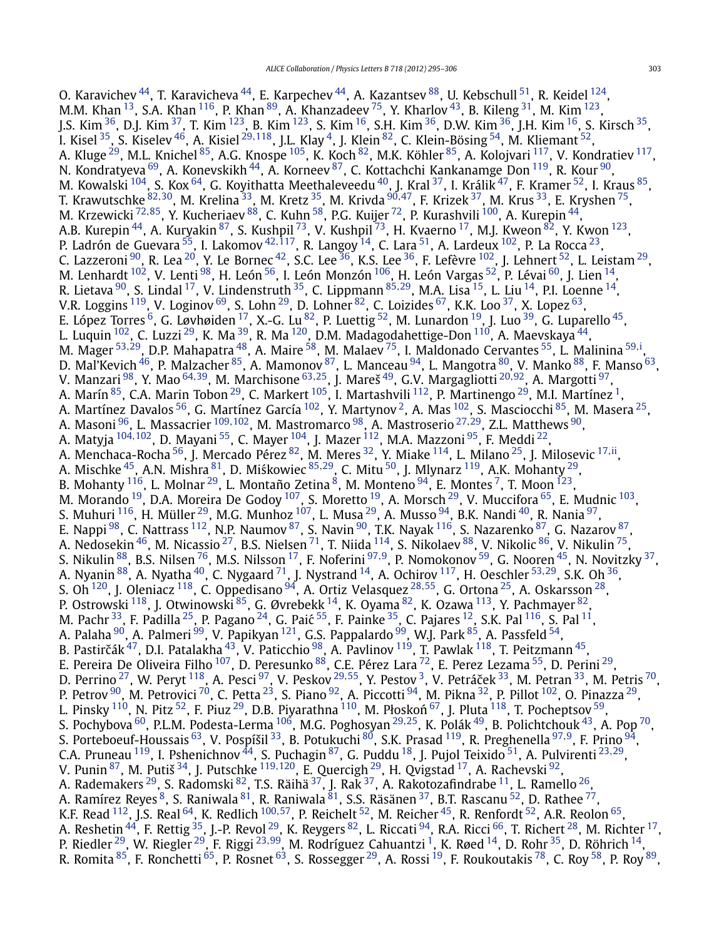O. Karavichev  $^{44}$ , T. Karavicheva  $^{44}$ , E. Karpechev  $^{44}$ , A. Kazantsev  $^{88}$ , U. Kebschull  $^{51}$ , R. Keidel  $^{124}$ , M.M. Khan  $^{13}$ , S.A. Khan  $^{116}$ , P. Khan  $^{89}$ , A. Khanzadeev  $^{75}$ , Y. Kharlov  $^{43}$ , B. Kileng  $^{31}$ , M. Kim  $^{123}$ , J.S. Kim  $^{36}$ , D.J. Kim  $^{37}$ , T. Kim  $^{123}$ , B. Kim  $^{123}$ , S. Kim  $^{16}$ , S.H. Kim  $^{36}$ , D.W. Kim  $^{36}$ , J.H. Kim  $^{16}$ , S. Kirsch  $^{35}$ , I. Kisel [35,](#page-10-0) S. Kiselev [46,](#page-10-0) A. Kisiel [29](#page-10-0)*,*[118,](#page-11-0) J.L. Klay [4,](#page-9-0) J. Klein [82,](#page-10-0) C. Klein-Bösing [54,](#page-10-0) M. Kliemant [52,](#page-10-0) A. Kluge <sup>29</sup>, M.L. Knichel <sup>85</sup>, A.G. Knospe <sup>105</sup>, K. Koch <sup>82</sup>, M.K. Köhler <sup>85</sup>, A. Kolojvari <sup>117</sup>, V. Kondratiev <sup>117</sup>, N. Kondratyeva  $^{69}$ , A. Konevskikh  $^{44}$ , A. Korneev  $^{87}$ , C. Kottachchi Kankanamge Don  $^{119}$ , R. Kour  $^{90}$ , M. Kowalski  $^{104}$ , S. Kox  $^{64}$ , G. Koyithatta Meethaleveedu  $^{40}$ , J. Kral  $^{37}$ , I. Králik  $^{47}$ , F. Kramer  $^{52}$ , I. Kraus  $^{85}$ , T. Krawutschke [82](#page-10-0)*,*[30,](#page-10-0) M. Krelina [33,](#page-10-0) M. Kretz [35,](#page-10-0) M. Krivda [90](#page-10-0)*,*[47,](#page-10-0) F. Krizek [37](#page-10-0), M. Krus [33,](#page-10-0) E. Kryshen [75,](#page-10-0) M. Krzewicki [72](#page-10-0)*,*[85,](#page-10-0) Y. Kucheriaev [88,](#page-10-0) C. Kuhn [58,](#page-10-0) P.G. Kuijer [72,](#page-10-0) P. Kurashvili [100,](#page-10-0) A. Kurepin [44,](#page-10-0) A.B. Kurepin <sup>44</sup>, A. Kuryakin <sup>87</sup>, S. Kushpil <sup>[73](#page-10-0)</sup>, V. Kushpil <sup>73</sup>, H. Kvaerno <sup>17</sup>, M.J. Kweon <sup>[82](#page-10-0)</sup>, Y. Kwon <sup>123</sup>, P. Ladrón de Guevara [55,](#page-10-0) I. Lakomov [42](#page-10-0)*,*[117](#page-11-0), R. Langoy [14,](#page-9-0) C. Lara [51,](#page-10-0) A. Lardeux [102,](#page-10-0) P. La Rocca [23,](#page-9-0) C. Lazzeroni  $^{90}$ , R. Lea  $^{20}$ , Y. Le Bornec  $^{42}$ , S.C. Lee  $^{36}$ , K.S. Lee  $^{36}$ , F. Lefèvre  $^{102}$  $^{102}$  $^{102}$ , J. Lehnert  $^{52}$ , L. Leistam  $^{29}$ , M. Lenhardt  $^{102}$ , V. Lenti $^{98}$ , H. León  $^{56}$ , I. León Monzón  $^{106}$  $^{106}$  $^{106}$ , H. León Vargas  $^{52}$ , P. Lévai $^{60}$ , J. Lien  $^{14}$ , R. Lietava [90](#page-10-0), S. Lindal [17,](#page-9-0) V. Lindenstruth [35,](#page-10-0) C. Lippmann [85](#page-10-0)*,*[29,](#page-10-0) M.A. Lisa [15,](#page-9-0) L. Liu [14,](#page-9-0) P.I. Loenne [14,](#page-9-0) V.R. Loggins <sup>119</sup>, V. Loginov <sup>69</sup>, S. Lohn <sup>29</sup>, D. Lohner <sup>82</sup>, C. Loizides <sup>67</sup>, K.K. Loo <sup>37</sup>, X. Lopez <sup>63</sup>, E. López Torres  $^6$ , G. Løvhøiden  $^{17}$ , X.-G. Lu  $^{82}$ , P. Luettig  $^{52}$ , M. Lunardon  $^{19}$ , J. Luo  $^{39}$ , G. Luparello  $^{45}$ , L. Luquin <sup>[102](#page-10-0)</sup>, C. Luzzi <sup>[29](#page-10-0)</sup>, K. Ma <sup>39</sup>, R. Ma <sup>120</sup>, D.M. Madagodahettige-Don <sup>110</sup>, A. Maevskaya <sup>44</sup>, M. Mager <sup>[53](#page-10-0),29</sup>, D.P. Mahapatra <sup>48</sup>, A. Maire <sup>58</sup>, M. Malaev <sup>75</sup>, I. Maldonado Cervantes <sup>55</sup>, L. Malinina <sup>[59](#page-10-0),[i](#page-11-0)</sup>, D. Mal'Kevich <sup>46</sup>, P. Malzacher <sup>85</sup>, A. Mamonov <sup>87</sup>, L. Manceau <sup>94</sup>, L. Mangotra <sup>80</sup>, V. Manko <sup>88</sup>, F. Manso <sup>63</sup>, V. Manzari [98,](#page-10-0) Y. Mao [64](#page-10-0)*,*[39,](#page-10-0) M. Marchisone [63](#page-10-0)*,*[25,](#page-9-0) J. Mareš [49,](#page-10-0) G.V. Margagliotti [20](#page-9-0)*,*[92](#page-10-0), A. Margotti [97,](#page-10-0) A. Marín $^{85}$  $^{85}$  $^{85}$ , C.A. Marin Tobon $^{29}$ , C. Markert  $^{105}$ , I. Martashvili  $^{112}$ , P. Martinengo $^{29}$ , M.I. Martínez  $^{1},$ A. Martínez Davalos <sup>56</sup>, G. Martínez García <sup>102</sup>, Y. Martynov <sup>2</sup>, A. Mas <sup>102</sup>, S. Masciocchi <sup>85</sup>, M. Masera <sup>25</sup>, A. Masoni [96,](#page-10-0) L. Massacrier [109](#page-11-0)*,*[102,](#page-10-0) M. Mastromarco [98](#page-10-0), A. Mastroserio [27](#page-10-0)*,*[29,](#page-10-0) Z.L. Matthews [90,](#page-10-0) A. Matyja [104](#page-10-0)*,*[102](#page-10-0), D. Mayani [55,](#page-10-0) C. Mayer [104,](#page-10-0) J. Mazer [112,](#page-11-0) M.A. Mazzoni [95,](#page-10-0) F. Meddi [22,](#page-9-0) A. Menchaca-Rocha [56,](#page-10-0) J. Mercado Pérez [82,](#page-10-0) M. Meres [32,](#page-10-0) Y. Miake [114,](#page-11-0) L. Milano [25,](#page-9-0) J. Milosevic [17](#page-9-0)*,*[ii,](#page-11-0) A. Mischke <sup>45</sup>, A.N. Mishra <sup>81</sup>, D. Miśkowiec <sup>[85](#page-10-0),29</sup>, C. Mitu <sup>50</sup>, J. Mlynarz <sup>119</sup>, A.K. Mohanty <sup>29</sup>, B. Mohanty  $^{116}$ , L. Molnar  $^{29}$ , L. Montaño Zetina  $^8$ , M. Monteno  $^{94}$ , E. Montes  $^7$ , T. Moon  $^{123},$ M. Morando <sup>19</sup>, D.A. Moreira De Godoy <sup>107</sup>, S. Moretto <sup>19</sup>, A. Morsch <sup>29</sup>, V. Muccifora <sup>65</sup>, E. Mudnic <sup>103</sup>, S. Muhuri  $^{116}$ , H. Müller  $^{29}$  $^{29}$  $^{29}$ , M.G. Munhoz  $^{107}$  $^{107}$  $^{107}$ , L. Musa  $^{29}$ , A. Musso  $^{94}$ , B.K. Nandi  $^{40}$ , R. Nania  $^{97}$ , E. Nappi  $^{98}$ , C. Nattrass  $^{112}$ , N.P. Naumov  $^{87}$  $^{87}$  $^{87}$ , S. Navin  $^{90}$  $^{90}$  $^{90}$ , T.K. Nayak  $^{116}$ , S. Nazarenko  $^{87}$ , G. Nazarov  $^{87},$ A. Nedosekin  $^{46}$  $^{46}$  $^{46}$ , M. Nicassio  $^{27}$ , B.S. Nielsen  $^{71}$ , T. Niida  $^{114}$ , S. Nikolaev  $^{88}$ , V. Nikolic  $^{86}$ , V. Nikulin  $^{75}$ , S. Nikulin [88,](#page-10-0) B.S. Nilsen [76,](#page-10-0) M.S. Nilsson [17,](#page-9-0) F. Noferini [97](#page-10-0)*,*[9,](#page-9-0) P. Nomokonov [59,](#page-10-0) G. Nooren [45,](#page-10-0) N. Novitzky [37,](#page-10-0) A. Nyanin [88,](#page-10-0) A. Nyatha [40,](#page-10-0) C. Nygaard [71,](#page-10-0) J. Nystrand [14,](#page-9-0) A. Ochirov [117,](#page-11-0) H. Oeschler [53](#page-10-0)*,*[29,](#page-10-0) S.K. Oh [36,](#page-10-0) S. Oh [120,](#page-11-0) J. Oleniacz [118,](#page-11-0) C. Oppedisano [94,](#page-10-0) A. Ortiz Velasquez [28](#page-10-0)*,*[55,](#page-10-0) G. Ortona [25,](#page-9-0) A. Oskarsson [28,](#page-10-0) P. Ostrowski  $^{118}$  $^{118}$  $^{118}$ , J. Otwinowski  $^{85}$ , G. Øvrebekk  $^{14}$ , K. Oyama  $^{82}$  $^{82}$  $^{82}$ , K. Ozawa  $^{113}$ , Y. Pachmayer  $^{82}$ , M. Pachr $^{33}$ , F. Padilla $^{25}$ , P. Pagano $^{24}$ , G. Paić $^{55}$ , F. Painke $^{35}$ , C. Pajares $^{12}$ , S.K. Pal $^{116}$  $^{116}$  $^{116}$ , S. Pal $^{11}$ , A. Palaha <sup>90</sup>, A. Palmeri <sup>99</sup>, V. Papikyan <sup>121</sup>, G.S. Pappalardo <sup>99</sup>, W.J. Park <sup>85</sup>, A. Passfeld <sup>54</sup>, B. Pastirčák<sup>47</sup>, D.I. Patalakha <sup>43</sup>, V. Paticchio <sup>98</sup>, A. Pavlinov <sup>[119](#page-11-0)</sup>, T. Pawlak <sup>118</sup>, T. Peitzmann <sup>45</sup>, E. Pereira De Oliveira Filho <sup>107</sup>, D. Peresunko <sup>88</sup>, C.E. Pérez Lara <sup>72</sup>, E. Perez Lezama <sup>[55](#page-10-0)</sup>, D. Perini <sup>29</sup>, D. Perrino <sup>27</sup>, W. Peryt <sup>118</sup>, A. Pesci <sup>97</sup>, V. Peskov <sup>[29](#page-10-0),55</sup>, Y. Pestov <sup>3</sup>, V. Petráček <sup>[33](#page-10-0)</sup>, M. Petran <sup>33</sup>, M. Petris <sup>70</sup>, P. Petrov <sup>90</sup>, M. Petrovici <sup>70</sup>, C. Petta <sup>23</sup>, S. Piano <sup>92</sup>, A. Piccotti <sup>[94](#page-10-0)</sup>, M. Pikna <sup>32</sup>, P. Pillot <sup>102</sup>, O. Pinazza <sup>29</sup>, L. Pinsky <sup>110</sup>, N. Pitz <sup>52</sup>, F. Piuz <sup>29</sup>, D.B. Piyarathna <sup>110</sup>, M. Płoskoń <sup>67</sup>, J. Pluta <sup>118</sup>, T. Pocheptsov <sup>59</sup>, S. Pochybova [60,](#page-10-0) P.L.M. Podesta-Lerma [106,](#page-11-0) M.G. Poghosyan [29](#page-10-0)*,*[25,](#page-9-0) K. Polák [49,](#page-10-0) B. Polichtchouk [43](#page-10-0), A. Pop [70,](#page-10-0) S. Porteboeuf-Houssais [63,](#page-10-0) V. Pospíšil [33,](#page-10-0) B. Potukuchi [80,](#page-10-0) S.K. Prasad [119,](#page-11-0) R. Preghenella [97](#page-10-0)*,*[9](#page-9-0), F. Prino [94,](#page-10-0) C.A. Pruneau [119,](#page-11-0) I. Pshenichnov [44,](#page-10-0) S. Puchagin [87](#page-10-0), G. Puddu [18](#page-9-0), J. Pujol Teixido [51,](#page-10-0) A. Pulvirenti [23](#page-9-0)*,*[29,](#page-10-0) V. Punin [87,](#page-10-0) M. Putiš [34,](#page-10-0) J. Putschke [119](#page-11-0)*,*[120,](#page-11-0) E. Quercigh [29,](#page-10-0) H. Qvigstad [17,](#page-9-0) A. Rachevski [92,](#page-10-0) A. Rademakers  $^{29}$ , S. Radomski  $^{82}$ , T.S. Räihä  $^{37}$ , J. Rak  $^{37}$ , A. Rakotozafindrabe  $^{11}$ , L. Ramello  $^{26}$ , A. Ramírez Reyes  $^8$ , S. Raniwala  $^{81}$  $^{81}$  $^{81}$ , R. Raniwala  $^{\rm 81}$ , S.S. Räsänen  $^{37}$  $^{37}$  $^{37}$ , B.T. Rascanu  $^{52}$ , D. Rathee  $^{77}$  $^{77}$  $^{77}$ , K.F. Read <sup>112</sup>, J.S. Real <sup>64</sup>, K. Redlich <sup>[100](#page-10-0),57</sup>, P. Reichelt <sup>52</sup>, M. Reicher <sup>[45](#page-10-0)</sup>, R. Renfordt <sup>[52](#page-10-0)</sup>, A.R. Reolon <sup>[65](#page-10-0)</sup>, A. Reshetin <sup>44</sup>, F. Rettig <sup>35</sup>, J.-P. Revol <sup>[29](#page-10-0)</sup>, K. Reygers <sup>82</sup>, L. Riccati <sup>94</sup>, R.A. Ricci <sup>66</sup>, T. Richert <sup>28</sup>, M. Richter <sup>17</sup>, P. Riedler [29,](#page-10-0) W. Riegler [29](#page-10-0), F. Riggi [23](#page-9-0)*,*[99,](#page-10-0) M. Rodríguez Cahuantzi [1,](#page-9-0) K. Røed [14,](#page-9-0) D. Rohr [35,](#page-10-0) D. Röhrich [14,](#page-9-0) R. Romita <sup>85</sup>, F. Ronchetti <sup>65</sup>, P. Rosnet <sup>63</sup>, S. Rossegger <sup>29</sup>, A. Rossi <sup>19</sup>, F. Roukoutakis <sup>78</sup>, C. Roy <sup>58</sup>, P. Roy <sup>89</sup>,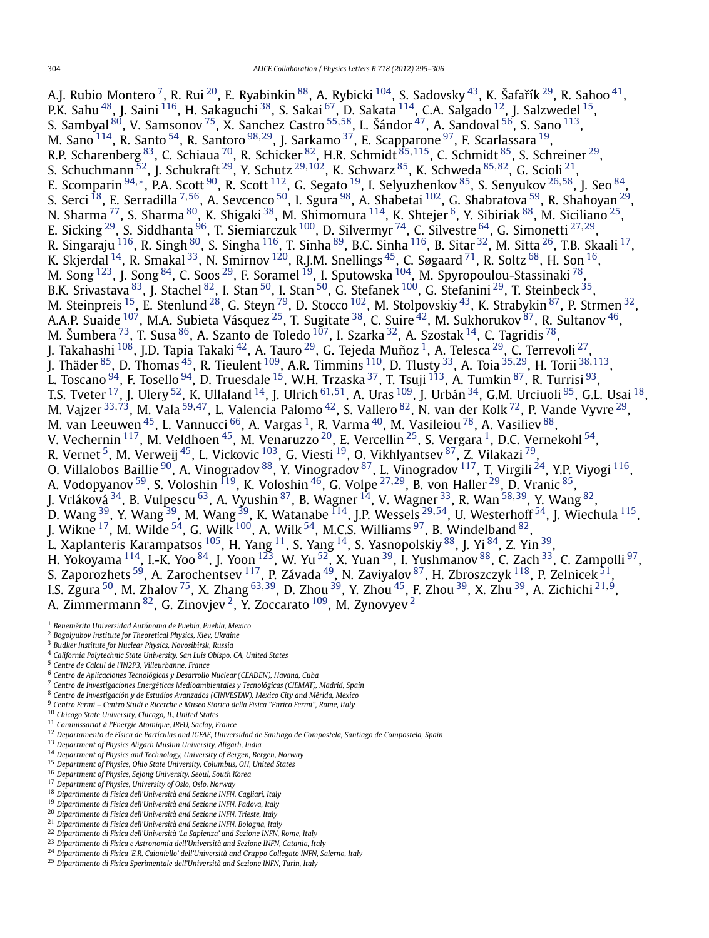<span id="page-9-0"></span>A.J. Rubio Montero <sup>7</sup>, R. Rui <sup>20</sup>, E. Ryabinkin  $^{88}$ , A. Rybicki  $^{104}$ , S. Sadovsky  $^{43}$ , K. Šafařík  $^{29}$ , R. Sahoo  $^{41}$ , P.K. Sahu $^{\,48}$ , J. Saini  $^{\rm 116}$ , H. Sakaguchi $^{\,38}$ , S. Sakai  $^{\rm 67}$ , D. Sakata  $^{\rm 114}$ , C.A. Salgado  $^{\rm 12}$ , J. Salzwedel  $^{\rm 15}$ , S. Sambyal [80,](#page-10-0) V. Samsonov [75,](#page-10-0) X. Sanchez Castro [55](#page-10-0)*,*[58,](#page-10-0) L. Šándor [47,](#page-10-0) A. Sandoval [56,](#page-10-0) S. Sano [113,](#page-11-0) M. Sano [114,](#page-11-0) R. Santo [54,](#page-10-0) R. Santoro [98](#page-10-0)*,*[29,](#page-10-0) J. Sarkamo [37,](#page-10-0) E. Scapparone [97,](#page-10-0) F. Scarlassara 19, R.P. Scharenberg [83](#page-10-0), C. Schiaua [70](#page-10-0), R. Schicker [82,](#page-10-0) H.R. Schmidt [85](#page-10-0)*,*[115,](#page-11-0) C. Schmidt [85,](#page-10-0) S. Schreiner [29,](#page-10-0) S. Schuchmann [52](#page-10-0), J. Schukraft [29](#page-10-0), Y. Schutz [29](#page-10-0)*,*[102,](#page-10-0) K. Schwarz [85,](#page-10-0) K. Schweda [85](#page-10-0)*,*[82,](#page-10-0) G. Scioli 21, E. Scomparin [94](#page-10-0)*,*[∗](#page-11-0), P.A. Scott [90,](#page-10-0) R. Scott [112,](#page-11-0) G. Segato 19, I. Selyuzhenkov [85,](#page-10-0) S. Senyukov <sup>26</sup>*,*[58,](#page-10-0) J. Seo [84,](#page-10-0) S. Serci 18, E. Serradilla <sup>7</sup>*,*[56,](#page-10-0) A. Sevcenco [50,](#page-10-0) I. Sgura [98,](#page-10-0) A. Shabetai [102,](#page-10-0) G. Shabratova [59,](#page-10-0) R. Shahoyan [29,](#page-10-0) N. Sharma <sup>77</sup>, S. Sharma <sup>80</sup>, K. Shigaki <sup>38</sup>, M. Shimomura <sup>114</sup>, K. Shtejer <sup>6</sup>, Y. Sibiriak <sup>88</sup>, M. Siciliano <sup>25</sup>, E. Sicking [29,](#page-10-0) S. Siddhanta [96,](#page-10-0) T. Siemiarczuk [100](#page-10-0), D. Silvermyr [74,](#page-10-0) C. Silvestre [64,](#page-10-0) G. Simonetti [27](#page-10-0)*,*[29,](#page-10-0) R. Singaraju <sup>[116](#page-11-0)</sup>, R. Singh <sup>80</sup>, S. Singha <sup>116</sup>, T. Sinha <sup>[89](#page-10-0)</sup>, B.C. Sinha <sup>116</sup>, B. Sitar <sup>32</sup>, M. Sitta <sup>26</sup>, T.B. Skaali <sup>17</sup>, K. Skjerdal  $^{14}$ , R. Smakal  $^{33}$ , N. Smirnov  $^{120}$ , R.J.M. Snellings  $^{45}$ , C. Søgaard  $^{71}$ , R. Soltz  $^{68}$ , H. Son  $^{16}$ , M. Song  $^{123}$ , J. Song  $^{84}$ , C. Soos  $^{29}$ , F. Soramel  $^{19}$ , I. Sputowska  $^{104}$ , M. Spyropoulou-Stassinaki  $^{78}$ , B.K. Srivastava  $^{83}$ , J. Stachel  $^{82}$ , I. Stan  $^{50}$  $^{50}$  $^{50}$ , I. Stan  $^{50}$ , G. Stefanek  $^{100}$ , G. Stefanini  $^{29}$ , T. Steinbeck  $^{35}$ , M. Steinpreis  $^{15}$ , E. Stenlund  $^{28}$ , G. Steyn  $^{79}$ , D. Stocco  $^{102}$ , M. Stolpovskiy  $^{43}$ , K. Strabykin  $^{87}$ , P. Strmen  $^{32}$ , A.A.P. Suaide  $^{107}$ , M.A. Subieta Vásquez  $^{25}$ , T. Sugitate  $^{38}$ , C. Suire  $^{42}$ , M. Sukhorukov  $^{87}$ , R. Sultanov  $^{46}$ , M. Šumbera $^{73}$ , T. Susa $^{86}$ , A. Szanto de Toledo $^{107}$ , I. Szarka $^{32}$ , A. Szostak $^{14}$ , C. Tagridis $^{78}$ , J. Takahashi  $^{108}$ , J.D. Tapia Takaki $^{42}$ , A. Tauro $^{29}$ , G. Tejeda Muñoz  $^1$ , A. Telesca $^{29}$ , C. Terrevoli $^{27}$ , J. Thäder [85](#page-10-0), D. Thomas [45,](#page-10-0) R. Tieulent [109,](#page-11-0) A.R. Timmins [110,](#page-11-0) D. Tlusty [33,](#page-10-0) A. Toia [35](#page-10-0)*,*[29,](#page-10-0) H. Torii [38](#page-10-0)*,*[113,](#page-11-0) L. Toscano <sup>94</sup>, F. Tosello <sup>94</sup>, D. Truesdale <sup>15</sup>, W.H. Trzaska <sup>37</sup>, T. Tsuji <sup>113</sup>, A. Tumkin <sup>87</sup>, R. Turrisi <sup>93</sup>, T.S. Tveter 17, J. Ulery [52,](#page-10-0) K. Ullaland 14, J. Ulrich [61](#page-10-0)*,*[51,](#page-10-0) A. Uras [109,](#page-11-0) J. Urbán [34,](#page-10-0) G.M. Urciuoli [95](#page-10-0), G.L. Usai 18, M. Vajzer [33](#page-10-0)*,*[73,](#page-10-0) M. Vala [59](#page-10-0)*,*[47](#page-10-0), L. Valencia Palomo [42](#page-10-0), S. Vallero [82,](#page-10-0) N. van der Kolk [72,](#page-10-0) P. Vande Vyvre [29,](#page-10-0) M. valget  $\mu$ , M. value  $\mu$ , E. valencia Falomo  $\mu$ , S. valieto  $\mu$ , N. van der Kolk  $\mu$ , P. val. M. Vasileiou  $\mu$ <sup>40</sup>, M. Vasileiou  $\mu$ <sup>78</sup>, A. Vasiliev  $\mu$ <sup>88</sup>, V. Vechernin <sup>117</sup>, M. Veldhoen <sup>45</sup>, M. Venaruzzo <sup>20</sup>, E. Vercellin <sup>25</sup>, S. Vergara <sup>1</sup>, D.C. Vernekohl <sup>[54](#page-10-0)</sup>, R. Vernet  $^5$ , M. Verweij  $^{45}$  $^{45}$  $^{45}$ , L. Vickovic  $^{103}$ , G. Viesti  $^{19}$ , O. Vikhlyantsev  $^{87}$ , Z. Vilakazi  $^{79}$ , O. Villalobos Baillie <sup>90</sup>, A. Vinogradov <sup>88</sup>, Y. Vinogradov <sup>87</sup>, L. Vinogradov <sup>117</sup>, T. Virgili <sup>24</sup>, Y.P. Viyogi <sup>116</sup>, A. Vodopyanov [59,](#page-10-0) S. Voloshin [119,](#page-11-0) K. Voloshin [46,](#page-10-0) G. Volpe [27](#page-10-0)*,*[29,](#page-10-0) B. von Haller [29,](#page-10-0) D. Vranic [85,](#page-10-0) J. Vrláková [34,](#page-10-0) B. Vulpescu [63](#page-10-0), A. Vyushin [87,](#page-10-0) B. Wagner 14, V. Wagner [33,](#page-10-0) R. Wan [58](#page-10-0)*,*[39,](#page-10-0) Y. Wang [82,](#page-10-0) D. Wang [39,](#page-10-0) Y. Wang [39,](#page-10-0) M. Wang [39,](#page-10-0) K. Watanabe [114,](#page-11-0) J.P. Wessels [29](#page-10-0)*,*[54](#page-10-0), U. Westerhoff [54,](#page-10-0) J. Wiechula [115,](#page-11-0) J. Wikne  $^{17}$ , M. Wilde  $^{54}$ , G. Wilk  $^{100}$  $^{100}$  $^{100}$ , A. Wilk  $^{54}$ , M.C.S. Williams  $^{97}$ , B. Windelband  $^{82}$  $^{82}$  $^{82}$ , L. Xaplanteris Karampatsos  $^{105}$ , H. Yang  $^{11}$ , S. Yang  $^{14}$ , S. Yasnopolskiy  $^{88}$ , J. Yi  $^{84}$ , Z. Yin  $^{39}$ , H. Yokoyama <sup>114</sup>, I.-K. Yoo <sup>84</sup>, J. Yoon <sup>123</sup>, W. Yu <sup>52</sup>, X. Yuan <sup>39</sup>, I. Yushmanov <sup>88</sup>, C. Zach <sup>33</sup>, C. Zampolli <sup>97</sup>, S. Zaporozhets  $^{59}$ , A. Zarochentsev  $^{117}$ , P. Závada  $^{49}$ , N. Zaviyalov  $^{87}$ , H. Zbroszczyk  $^{118}$ , P. Zelnicek  $^{51}$ , I.S. Zgura [50,](#page-10-0) M. Zhalov [75,](#page-10-0) X. Zhang [63](#page-10-0)*,*[39,](#page-10-0) D. Zhou [39,](#page-10-0) Y. Zhou [45,](#page-10-0) F. Zhou [39,](#page-10-0) X. Zhu [39,](#page-10-0) A. Zichichi <sup>21</sup>*,*9, A. Zimmermann $^{\mathrm{82}}$ , G. Zinovjev  $^2$ , Y. Zoccarato  $^{109}$  $^{109}$  $^{109}$ , M. Zynovyev  $^2$ 

<sup>2</sup> *Bogolyubov Institute for Theoretical Physics, Kiev, Ukraine*

- <sup>7</sup> *Centro de Investigaciones Energéticas Medioambientales y Tecnológicas (CIEMAT), Madrid, Spain*
- <sup>8</sup> *Centro de Investigación y de Estudios Avanzados (CINVESTAV), Mexico City and Mérida, Mexico*
- <sup>9</sup> *Centro Fermi Centro Studi e Ricerche e Museo Storico della Fisica "Enrico Fermi", Rome, Italy*
- <sup>10</sup> *Chicago State University, Chicago, IL, United States*
- <sup>11</sup> *Commissariat à l'Energie Atomique, IRFU, Saclay, France*
- <sup>12</sup> *Departamento de Física de Partículas and IGFAE, Universidad de Santiago de Compostela, Santiago de Compostela, Spain*
- <sup>13</sup> *Department of Physics Aligarh Muslim University, Aligarh, India*
- <sup>14</sup> *Department of Physics and Technology, University of Bergen, Bergen, Norway*
- <sup>15</sup> *Department of Physics, Ohio State University, Columbus, OH, United States*
- <sup>16</sup> *Department of Physics, Sejong University, Seoul, South Korea*
- <sup>17</sup> *Department of Physics, University of Oslo, Oslo, Norway*
- <sup>18</sup> *Dipartimento di Fisica dell'Università and Sezione INFN, Cagliari, Italy* <sup>19</sup> *Dipartimento di Fisica dell'Università and Sezione INFN, Padova, Italy*
- <sup>20</sup> *Dipartimento di Fisica dell'Università and Sezione INFN, Trieste, Italy*
- <sup>21</sup> *Dipartimento di Fisica dell'Università and Sezione INFN, Bologna, Italy*
- <sup>22</sup> *Dipartimento di Fisica dell'Università 'La Sapienza' and Sezione INFN, Rome, Italy*
- <sup>23</sup> *Dipartimento di Fisica e Astronomia dell'Università and Sezione INFN, Catania, Italy*
- <sup>24</sup> *Dipartimento di Fisica 'E.R. Caianiello' dell'Università and Gruppo Collegato INFN, Salerno, Italy*

<sup>1</sup> *Benemérita Universidad Autónoma de Puebla, Puebla, Mexico*

<sup>3</sup> *Budker Institute for Nuclear Physics, Novosibirsk, Russia*

<sup>4</sup> *California Polytechnic State University, San Luis Obispo, CA, United States*

<sup>5</sup> *Centre de Calcul de l'IN2P3, Villeurbanne, France*

<sup>6</sup> *Centro de Aplicaciones Tecnológicas y Desarrollo Nuclear (CEADEN), Havana, Cuba*

<sup>25</sup> *Dipartimento di Fisica Sperimentale dell'Università and Sezione INFN, Turin, Italy*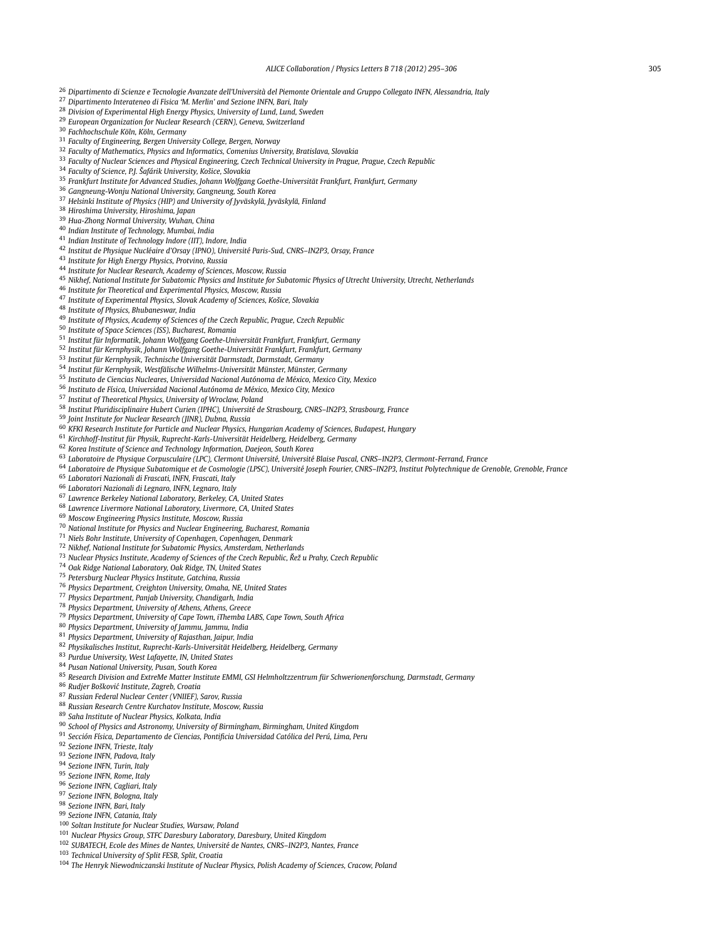<span id="page-10-0"></span> *Dipartimento di Scienze e Tecnologie Avanzate dell'Università del Piemonte Orientale and Gruppo Collegato INFN, Alessandria, Italy Dipartimento Interateneo di Fisica 'M. Merlin' and Sezione INFN, Bari, Italy Division of Experimental High Energy Physics, University of Lund, Lund, Sweden European Organization for Nuclear Research (CERN), Geneva, Switzerland Fachhochschule Köln, Köln, Germany Faculty of Engineering, Bergen University College, Bergen, Norway Faculty of Mathematics, Physics and Informatics, Comenius University, Bratislava, Slovakia Faculty of Nuclear Sciences and Physical Engineering, Czech Technical University in Prague, Prague, Czech Republic Faculty of Science, P.J. Šafárik University, Košice, Slovakia Frankfurt Institute for Advanced Studies, Johann Wolfgang Goethe-Universität Frankfurt, Frankfurt, Germany Gangneung-Wonju National University, Gangneung, South Korea Helsinki Institute of Physics (HIP) and University of Jyväskylä, Jyväskylä, Finland Hiroshima University, Hiroshima, Japan Hua-Zhong Normal University, Wuhan, China Indian Institute of Technology, Mumbai, India Indian Institute of Technology Indore (IIT), Indore, India Institut de Physique Nucléaire d'Orsay (IPNO), Université Paris-Sud, CNRS–IN2P3, Orsay, France Institute for High Energy Physics, Protvino, Russia Institute for Nuclear Research, Academy of Sciences, Moscow, Russia Nikhef, National Institute for Subatomic Physics and Institute for Subatomic Physics of Utrecht University, Utrecht, Netherlands Institute for Theoretical and Experimental Physics, Moscow, Russia Institute of Experimental Physics, Slovak Academy of Sciences, Košice, Slovakia Institute of Physics, Bhubaneswar, India Institute of Physics, Academy of Sciences of the Czech Republic, Prague, Czech Republic Institute of Space Sciences (ISS), Bucharest, Romania Institut für Informatik, Johann Wolfgang Goethe-Universität Frankfurt, Frankfurt, Germany Institut für Kernphysik, Johann Wolfgang Goethe-Universität Frankfurt, Frankfurt, Germany Institut für Kernphysik, Technische Universität Darmstadt, Darmstadt, Germany Institut für Kernphysik, Westfälische Wilhelms-Universität Münster, Münster, Germany Instituto de Ciencias Nucleares, Universidad Nacional Autónoma de México, Mexico City, Mexico Instituto de Física, Universidad Nacional Autónoma de México, Mexico City, Mexico Institut of Theoretical Physics, University of Wroclaw, Poland Institut Pluridisciplinaire Hubert Curien (IPHC), Université de Strasbourg, CNRS–IN2P3, Strasbourg, France Joint Institute for Nuclear Research (JINR), Dubna, Russia KFKI Research Institute for Particle and Nuclear Physics, Hungarian Academy of Sciences, Budapest, Hungary Kirchhoff-Institut für Physik, Ruprecht-Karls-Universität Heidelberg, Heidelberg, Germany Korea Institute of Science and Technology Information, Daejeon, South Korea Laboratoire de Physique Corpusculaire (LPC), Clermont Université, Université Blaise Pascal, CNRS–IN2P3, Clermont-Ferrand, France Laboratoire de Physique Subatomique et de Cosmologie (LPSC), Université Joseph Fourier, CNRS–IN2P3, Institut Polytechnique de Grenoble, Grenoble, France Laboratori Nazionali di Frascati, INFN, Frascati, Italy Laboratori Nazionali di Legnaro, INFN, Legnaro, Italy Lawrence Berkeley National Laboratory, Berkeley, CA, United States Lawrence Livermore National Laboratory, Livermore, CA, United States Moscow Engineering Physics Institute, Moscow, Russia National Institute for Physics and Nuclear Engineering, Bucharest, Romania Niels Bohr Institute, University of Copenhagen, Copenhagen, Denmark Nikhef, National Institute for Subatomic Physics, Amsterdam, Netherlands Nuclear Physics Institute, Academy of Sciences of the Czech Republic, Rež u Prahy, Czech Republic ˇ Oak Ridge National Laboratory, Oak Ridge, TN, United States Petersburg Nuclear Physics Institute, Gatchina, Russia Physics Department, Creighton University, Omaha, NE, United States Physics Department, Panjab University, Chandigarh, India Physics Department, University of Athens, Athens, Greece Physics Department, University of Cape Town, iThemba LABS, Cape Town, South Africa Physics Department, University of Jammu, Jammu, India Physics Department, University of Rajasthan, Jaipur, India Physikalisches Institut, Ruprecht-Karls-Universität Heidelberg, Heidelberg, Germany Purdue University, West Lafayette, IN, United States Pusan National University, Pusan, South Korea*

*Research Division and ExtreMe Matter Institute EMMI, GSI Helmholtzzentrum für Schwerionenforschung, Darmstadt, Germany*

*Rudjer Boškovi´c Institute, Zagreb, Croatia*

*Russian Federal Nuclear Center (VNIIEF), Sarov, Russia*

*Russian Research Centre Kurchatov Institute, Moscow, Russia*

*Saha Institute of Nuclear Physics, Kolkata, India*

*School of Physics and Astronomy, University of Birmingham, Birmingham, United Kingdom*

*Sección Física, Departamento de Ciencias, Pontificia Universidad Católica del Perú, Lima, Peru*

*Sezione INFN, Trieste, Italy*

*Sezione INFN, Padova, Italy*

*Sezione INFN, Turin, Italy*

*Sezione INFN, Rome, Italy*

*Sezione INFN, Cagliari, Italy*

*Sezione INFN, Bologna, Italy*

*Sezione INFN, Bari, Italy*

*Sezione INFN, Catania, Italy*

*Soltan Institute for Nuclear Studies, Warsaw, Poland*

*Nuclear Physics Group, STFC Daresbury Laboratory, Daresbury, United Kingdom*

*SUBATECH, Ecole des Mines de Nantes, Université de Nantes, CNRS–IN2P3, Nantes, France*

*Technical University of Split FESB, Split, Croatia*

*The Henryk Niewodniczanski Institute of Nuclear Physics, Polish Academy of Sciences, Cracow, Poland*